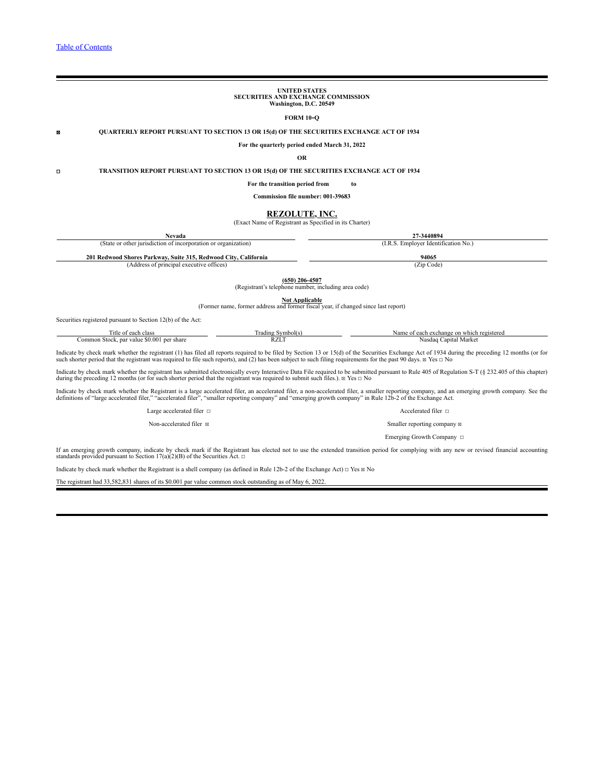# **UNITED STATES SECURITIES AND EXCHANGE COMMISSION Washington, D.C. 20549 FORM 10-Q** ☒ **QUARTERLY REPORT PURSUANT TO SECTION 13 OR 15(d) OF THE SECURITIES EXCHANGE ACT OF 1934 For the quarterly period ended March 31, 2022 OR** ☐ **TRANSITION REPORT PURSUANT TO SECTION 13 OR 15(d) OF THE SECURITIES EXCHANGE ACT OF 1934 For the transition period from to Commission file number: 001-39683 REZOLUTE, INC.** (Exact Name of Registrant as Specified in its Charter) **Nevada 27-3440894** (State or other jurisdiction of incorporation or organization) (I.R.S. Employer Identification No.) **201 Redwood Shores Parkway, Suite 315, Redwood City, California 94065** (Address of principal executive offices) **(650) 206-4507** (Registrant's telephone number, including area code)

**Not Applicable** (Former name, former address and former fiscal year, if changed since last report)

Securities registered pursuant to Section 12(b) of the Act:

| .utle<br>clas<br>$\alpha$                                                | ،dıne<br>$2225 - 111$ | a exchange<br>ı reoist<br>on wh<br>$\sim$<br>ım<br>$\sim$ |
|--------------------------------------------------------------------------|-----------------------|-----------------------------------------------------------|
| _____<br>) () ()<br>per share<br>:ommon<br>oar value.<br>Stock<br>.<br>. | WL.                   | oital.<br>* * orizar<br>Nasdac<br><b>IVIAIKC</b><br>.     |

Indicate by check mark whether the registrant (1) has filed all reports required to be filed by Section 13 or 15(d) of the Securities Exchange Act of 1934 during the preceding 12 months (or for such shorter period that th

Indicate by check mark whether the registrant has submitted electronically every Interactive Data File required to be submitted pursuant to Rule 405 of Regulation S-T (§ 232.405 of this chapter) during the preceding 12 mo

Indicate by check mark whether the Registrant is a large accelerated filer, an accelerated filer, a non-accelerated filer, a smaller reporting company, and an emerging growth company. See the definitions of "large accelera

Large accelerated filer <del>□</del> accelerated filer □

Non-accelerated filer  $\boxtimes$ Emerging Growth Company ☐

If an emerging growth company, indicate by check mark if the Registrant has elected not to use the extended transition period for complying with any new or revised financial accounting<br>standards provided pursuant to Secti

Indicate by check mark whether the Registrant is a shell company (as defined in Rule 12b-2 of the Exchange Act)  $\Box$  Yes  $\boxtimes$  No

The registrant had 33,582,831 shares of its \$0.001 par value common stock outstanding as of May 6, 2022.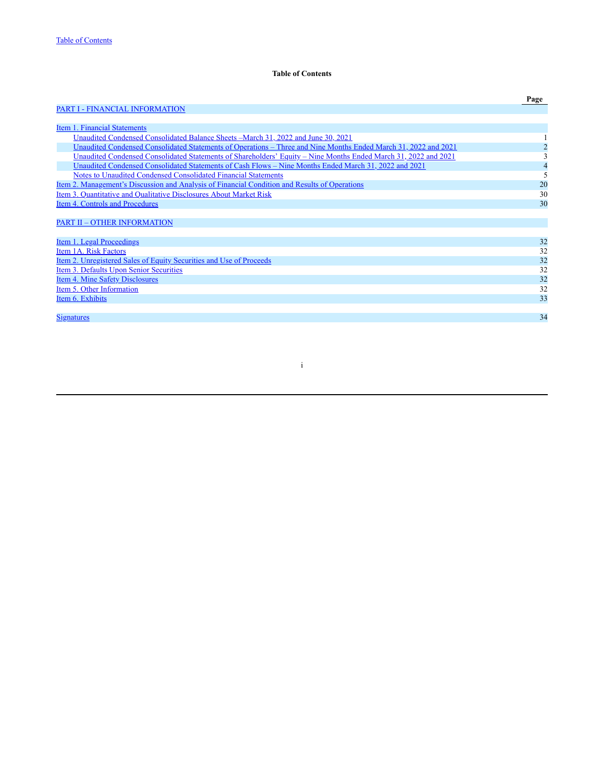# **Table of Contents**

<span id="page-1-0"></span>

|                                                                                                                 | Page                     |
|-----------------------------------------------------------------------------------------------------------------|--------------------------|
| <b>PART I - FINANCIAL INFORMATION</b>                                                                           |                          |
|                                                                                                                 |                          |
| Item 1. Financial Statements                                                                                    |                          |
| Unaudited Condensed Consolidated Balance Sheets – March 31, 2022 and June 30, 2021                              |                          |
| Unaudited Condensed Consolidated Statements of Operations – Three and Nine Months Ended March 31, 2022 and 2021 |                          |
| Unaudited Condensed Consolidated Statements of Shareholders' Equity - Nine Months Ended March 31, 2022 and 2021 | 3                        |
| Unaudited Condensed Consolidated Statements of Cash Flows - Nine Months Ended March 31, 2022 and 2021           | 4                        |
| Notes to Unaudited Condensed Consolidated Financial Statements                                                  | $\overline{\phantom{0}}$ |
| <u>Item 2. Management's Discussion and Analysis of Financial Condition and Results of Operations</u>            | 20                       |
| Item 3. Quantitative and Qualitative Disclosures About Market Risk                                              | 30                       |
| Item 4. Controls and Procedures                                                                                 | 30                       |
|                                                                                                                 |                          |
| <b>PART II - OTHER INFORMATION</b>                                                                              |                          |
|                                                                                                                 |                          |
| Item 1. Legal Proceedings                                                                                       | 32                       |
| Item 1A. Risk Factors                                                                                           | 32                       |
| <u>Item 2. Unregistered Sales of Equity Securities and Use of Proceeds</u>                                      | 32                       |
| Item 3. Defaults Upon Senior Securities                                                                         | 32                       |
| Item 4. Mine Safety Disclosures                                                                                 | 32                       |
| Item 5. Other Information                                                                                       | 32                       |
| Item 6. Exhibits                                                                                                | 33                       |
|                                                                                                                 |                          |
| <b>Signatures</b>                                                                                               | 34                       |
|                                                                                                                 |                          |

i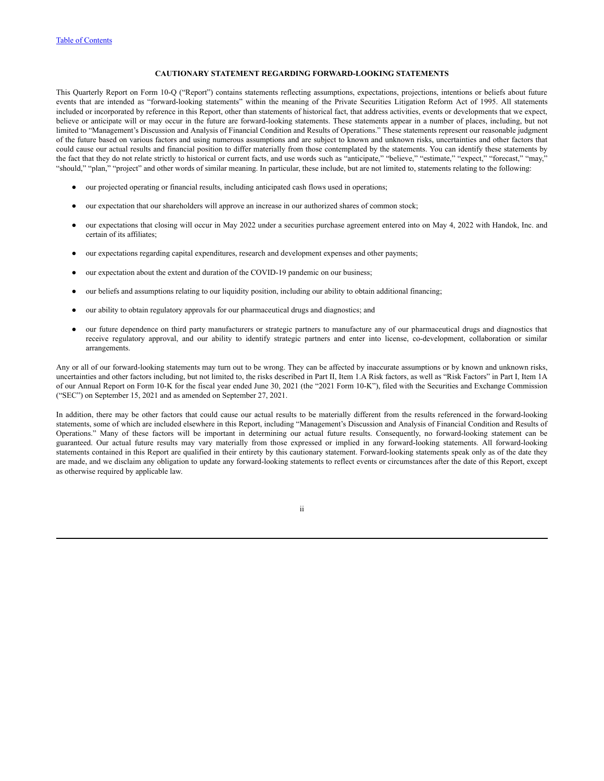### **CAUTIONARY STATEMENT REGARDING FORWARD-LOOKING STATEMENTS**

This Quarterly Report on Form 10-Q ("Report") contains statements reflecting assumptions, expectations, projections, intentions or beliefs about future events that are intended as "forward-looking statements" within the meaning of the Private Securities Litigation Reform Act of 1995. All statements included or incorporated by reference in this Report, other than statements of historical fact, that address activities, events or developments that we expect, believe or anticipate will or may occur in the future are forward-looking statements. These statements appear in a number of places, including, but not limited to "Management's Discussion and Analysis of Financial Condition and Results of Operations." These statements represent our reasonable judgment of the future based on various factors and using numerous assumptions and are subject to known and unknown risks, uncertainties and other factors that could cause our actual results and financial position to differ materially from those contemplated by the statements. You can identify these statements by the fact that they do not relate strictly to historical or current facts, and use words such as "anticipate," "believe," "estimate," "expect," "forecast," "may," "should," "plan," "project" and other words of similar meaning. In particular, these include, but are not limited to, statements relating to the following:

- our projected operating or financial results, including anticipated cash flows used in operations;
- our expectation that our shareholders will approve an increase in our authorized shares of common stock;
- our expectations that closing will occur in May 2022 under a securities purchase agreement entered into on May 4, 2022 with Handok, Inc. and certain of its affiliates;
- our expectations regarding capital expenditures, research and development expenses and other payments;
- our expectation about the extent and duration of the COVID-19 pandemic on our business;
- our beliefs and assumptions relating to our liquidity position, including our ability to obtain additional financing;
- our ability to obtain regulatory approvals for our pharmaceutical drugs and diagnostics; and
- our future dependence on third party manufacturers or strategic partners to manufacture any of our pharmaceutical drugs and diagnostics that receive regulatory approval, and our ability to identify strategic partners and enter into license, co-development, collaboration or similar arrangements.

Any or all of our forward-looking statements may turn out to be wrong. They can be affected by inaccurate assumptions or by known and unknown risks, uncertainties and other factors including, but not limited to, the risks described in Part II, Item 1.A Risk factors, as well as "Risk Factors" in Part I, Item 1A of our Annual Report on Form 10-K for the fiscal year ended June 30, 2021 (the "2021 Form 10-K"), filed with the Securities and Exchange Commission ("SEC") on September 15, 2021 and as amended on September 27, 2021.

In addition, there may be other factors that could cause our actual results to be materially different from the results referenced in the forward-looking statements, some of which are included elsewhere in this Report, including "Management's Discussion and Analysis of Financial Condition and Results of Operations." Many of these factors will be important in determining our actual future results. Consequently, no forward-looking statement can be guaranteed. Our actual future results may vary materially from those expressed or implied in any forward-looking statements. All forward-looking statements contained in this Report are qualified in their entirety by this cautionary statement. Forward-looking statements speak only as of the date they are made, and we disclaim any obligation to update any forward-looking statements to reflect events or circumstances after the date of this Report, except as otherwise required by applicable law.

ii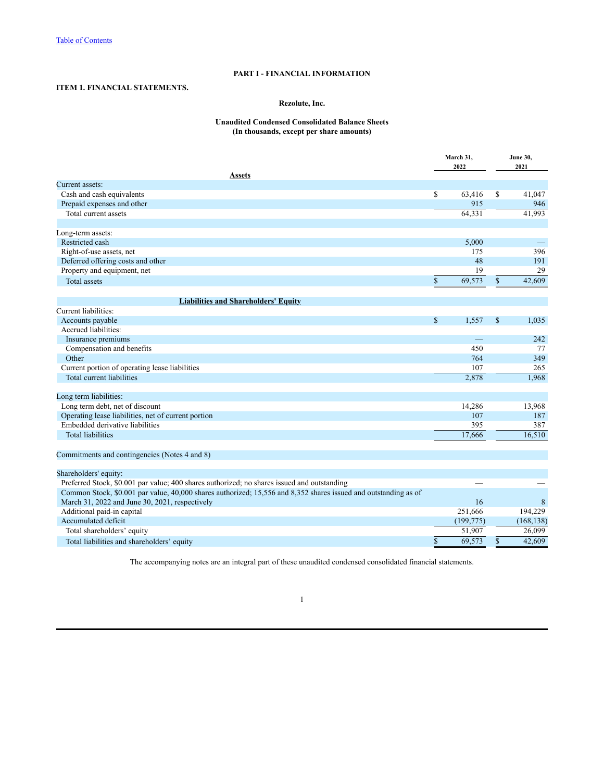# **PART I - FINANCIAL INFORMATION**

# <span id="page-3-2"></span><span id="page-3-1"></span><span id="page-3-0"></span>**ITEM 1. FINANCIAL STATEMENTS.**

# **Rezolute, Inc.**

# **Unaudited Condensed Consolidated Balance Sheets (In thousands, except per share amounts)**

|                                                                                                                 |               |            |               | <b>June 30,</b> |
|-----------------------------------------------------------------------------------------------------------------|---------------|------------|---------------|-----------------|
|                                                                                                                 |               | 2022       |               | 2021            |
| Assets                                                                                                          |               |            |               |                 |
| Current assets:                                                                                                 |               |            |               |                 |
| Cash and cash equivalents                                                                                       | \$            | 63,416     | \$            | 41,047          |
| Prepaid expenses and other                                                                                      |               | 915        |               | 946             |
| Total current assets                                                                                            |               | 64,331     |               | 41,993          |
| Long-term assets:                                                                                               |               |            |               |                 |
| Restricted cash                                                                                                 |               | 5,000      |               |                 |
| Right-of-use assets, net                                                                                        |               | 175        |               | 396             |
| Deferred offering costs and other                                                                               |               | 48         |               | 191             |
| Property and equipment, net                                                                                     |               | 19         |               | 29              |
| <b>Total</b> assets                                                                                             | \$            | 69,573     | \$            | 42,609          |
| <b>Liabilities and Shareholders' Equity</b>                                                                     |               |            |               |                 |
| Current liabilities:                                                                                            |               |            |               |                 |
| Accounts payable                                                                                                | $\mathsf{\$}$ | 1,557      | $\mathcal{S}$ | 1,035           |
| Accrued liabilities:                                                                                            |               |            |               |                 |
| Insurance premiums                                                                                              |               |            |               | 242             |
| Compensation and benefits                                                                                       |               | 450        |               | 77              |
| Other                                                                                                           |               | 764        |               | 349             |
| Current portion of operating lease liabilities                                                                  |               | 107        |               | 265             |
| Total current liabilities                                                                                       |               | 2,878      |               | 1.968           |
|                                                                                                                 |               |            |               |                 |
| Long term liabilities:                                                                                          |               |            |               |                 |
| Long term debt, net of discount                                                                                 |               | 14,286     |               | 13,968          |
| Operating lease liabilities, net of current portion                                                             |               | 107        |               | 187             |
| Embedded derivative liabilities                                                                                 |               | 395        |               | 387             |
| <b>Total liabilities</b>                                                                                        |               | 17.666     |               | 16,510          |
| Commitments and contingencies (Notes 4 and 8)                                                                   |               |            |               |                 |
| Shareholders' equity:                                                                                           |               |            |               |                 |
| Preferred Stock, \$0.001 par value; 400 shares authorized; no shares issued and outstanding                     |               |            |               |                 |
| Common Stock, \$0.001 par value, 40,000 shares authorized; 15,556 and 8,352 shares issued and outstanding as of |               |            |               |                 |
| March 31, 2022 and June 30, 2021, respectively                                                                  |               | 16         |               | 8               |
| Additional paid-in capital                                                                                      |               | 251,666    |               | 194,229         |
| Accumulated deficit                                                                                             |               | (199, 775) |               | (168, 138)      |
| Total shareholders' equity                                                                                      |               | 51,907     |               | 26,099          |
|                                                                                                                 | \$            |            | $\mathbb{S}$  |                 |
| Total liabilities and shareholders' equity                                                                      |               | 69,573     |               | 42,609          |

The accompanying notes are an integral part of these unaudited condensed consolidated financial statements.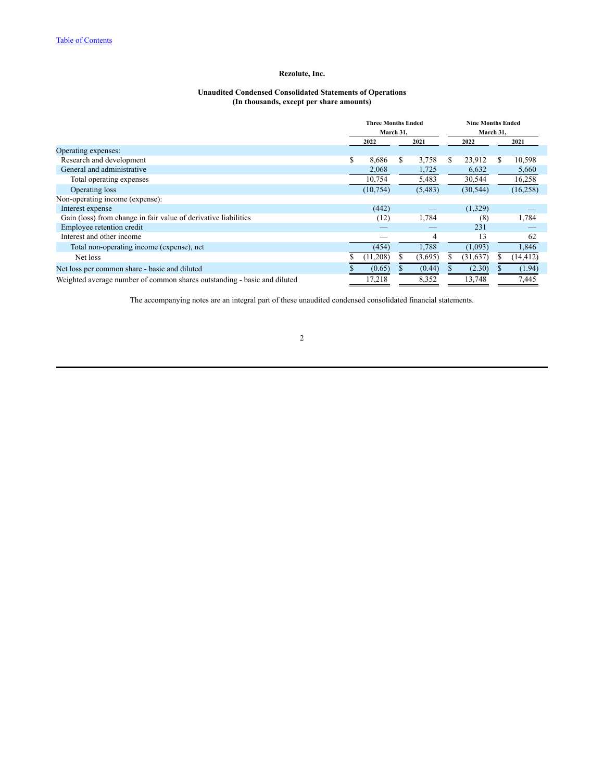#### **Unaudited Condensed Consolidated Statements of Operations (In thousands, except per share amounts)**

<span id="page-4-0"></span>

|                                                                          | <b>Three Months Ended</b><br>March 31, |           |  |         | <b>Nine Months Ended</b><br>March 31, |           |   |           |
|--------------------------------------------------------------------------|----------------------------------------|-----------|--|---------|---------------------------------------|-----------|---|-----------|
|                                                                          |                                        | 2022      |  | 2021    | 2022                                  |           |   | 2021      |
| Operating expenses:                                                      |                                        |           |  |         |                                       |           |   |           |
| Research and development                                                 |                                        | 8,686     |  | 3,758   | S                                     | 23,912    | S | 10,598    |
| General and administrative                                               |                                        | 2,068     |  | 1,725   |                                       | 6,632     |   | 5,660     |
| Total operating expenses                                                 |                                        | 10,754    |  | 5,483   |                                       | 30,544    |   | 16,258    |
| Operating loss                                                           |                                        | (10, 754) |  | (5,483) |                                       | (30, 544) |   | (16, 258) |
| Non-operating income (expense):                                          |                                        |           |  |         |                                       |           |   |           |
| Interest expense                                                         |                                        | (442)     |  |         |                                       | (1,329)   |   |           |
| Gain (loss) from change in fair value of derivative liabilities          |                                        | (12)      |  | 1,784   |                                       | (8)       |   | 1,784     |
| Employee retention credit                                                |                                        |           |  |         |                                       | 231       |   |           |
| Interest and other income                                                |                                        |           |  | 4       |                                       | 13        |   | 62        |
| Total non-operating income (expense), net                                |                                        | (454)     |  | 1,788   |                                       | (1,093)   |   | 1,846     |
| Net loss                                                                 |                                        | (11,208)  |  | (3,695) |                                       | (31, 637) |   | (14, 412) |
| Net loss per common share - basic and diluted                            |                                        | (0.65)    |  | (0.44)  |                                       | (2.30)    |   | (1.94)    |
| Weighted average number of common shares outstanding - basic and diluted |                                        | 17,218    |  | 8,352   |                                       | 13,748    |   | 7,445     |

The accompanying notes are an integral part of these unaudited condensed consolidated financial statements.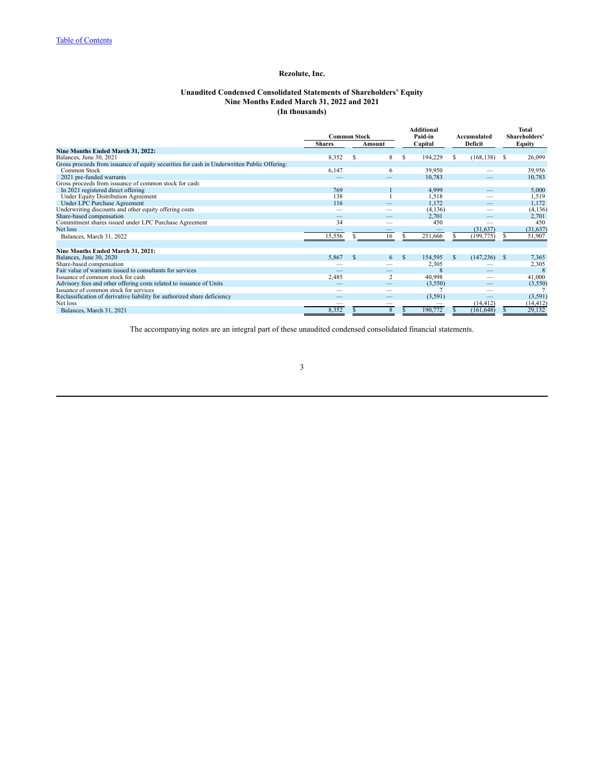### **Unaudited Condensed Consolidated Statements of Shareholders' Equity Nine Months Ended March 31, 2022 and 2021 (In thousands)**

<span id="page-5-0"></span>

|                                                                                             | <b>Common Stock</b> |   |                          |               | <b>Additional</b><br>Paid-in |               | Accumulated              |    | Total<br>Shareholders' |
|---------------------------------------------------------------------------------------------|---------------------|---|--------------------------|---------------|------------------------------|---------------|--------------------------|----|------------------------|
|                                                                                             | <b>Shares</b>       |   | Amount                   |               | Capital                      |               | Deficit                  |    | Equity                 |
| Nine Months Ended March 31, 2022:                                                           |                     |   |                          |               |                              |               |                          |    |                        |
| Balances, June 30, 2021                                                                     | 8,352               | S | 8                        | S             | 194,229                      | S             | (168, 138)               | -S | 26,099                 |
| Gross proceeds from issuance of equity securities for cash in Underwritten Public Offering: |                     |   |                          |               |                              |               |                          |    |                        |
| Common Stock                                                                                | 6,147               |   | 6                        |               | 39,950                       |               |                          |    | 39,956                 |
| 2021 pre-funded warrants                                                                    |                     |   |                          |               | 10,783                       |               |                          |    | 10,783                 |
| Gross proceeds from issuance of common stock for cash:                                      |                     |   |                          |               |                              |               |                          |    |                        |
| In 2021 registered direct offering                                                          | 769                 |   |                          |               | 4,999                        |               |                          |    | 5,000                  |
| Under Equity Distribution Agreement                                                         | 138                 |   |                          |               | 1,518                        |               |                          |    | 1,519                  |
| Under LPC Purchase Agreement                                                                | 116                 |   |                          |               | 1,172                        |               |                          |    | 1,172                  |
| Underwriting discounts and other equity offering costs                                      |                     |   |                          |               | (4, 136)                     |               |                          |    | (4, 136)               |
| Share-based compensation                                                                    | _                   |   | $\overline{\phantom{a}}$ |               | 2,701                        |               | $\overline{\phantom{a}}$ |    | 2,701                  |
| Commitment shares issued under LPC Purchase Agreement                                       | 34                  |   | -                        |               | 450                          |               |                          |    | 450                    |
| Net loss                                                                                    |                     |   | $\overline{\phantom{a}}$ |               | –                            |               | (31, 637)                |    | (31, 637)              |
| Balances, March 31, 2022                                                                    | 15,556              |   | 16                       |               | 251,666                      |               | (199, 775)               |    | 51,907                 |
|                                                                                             |                     |   |                          |               |                              |               |                          |    |                        |
| Nine Months Ended March 31, 2021:                                                           |                     |   |                          |               |                              |               |                          |    |                        |
| Balances, June 30, 2020                                                                     | 5,867               | S | 6                        | $\mathcal{S}$ | 154,595                      | $\mathcal{S}$ | (147, 236)               | -S | 7,365                  |
| Share-based compensation                                                                    |                     |   |                          |               | 2,305                        |               |                          |    | 2,305                  |
| Fair value of warrants issued to consultants for services                                   |                     |   |                          |               |                              |               |                          |    | 8                      |
| Issuance of common stock for cash                                                           | 2,485               |   | $\overline{2}$           |               | 40,998                       |               |                          |    | 41,000                 |
| Advisory fees and other offering costs related to issuance of Units                         |                     |   | $\overline{\phantom{a}}$ |               | (3,550)                      |               |                          |    | (3,550)                |
| Issuance of common stock for services                                                       |                     |   | -                        |               |                              |               |                          |    |                        |
| Reclassification of derivative liability for authorized share deficiency                    |                     |   |                          |               | (3,591)                      |               |                          |    | (3,591)                |
| Net loss                                                                                    |                     |   | -                        |               |                              |               | (14, 412)                |    | (14, 412)              |
| Balances, March 31, 2021                                                                    | 8,352               |   | 8                        |               | 190,772                      |               | (161, 648)               |    | 29,132                 |

The accompanying notes are an integral part of these unaudited condensed consolidated financial statements.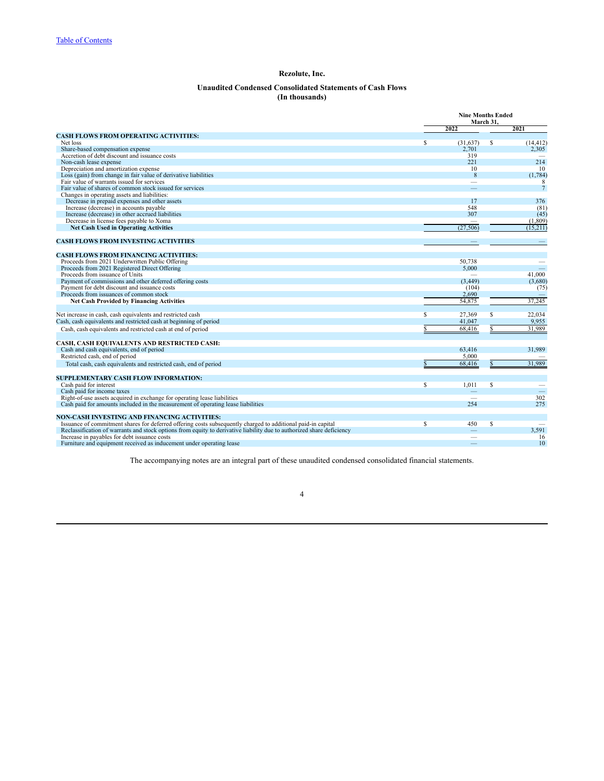# **Unaudited Condensed Consolidated Statements of Cash Flows (In thousands)**

<span id="page-6-0"></span>

|                                                                                                                       |                         |              | <b>Nine Months Ended</b><br>March 31. |                 |  |
|-----------------------------------------------------------------------------------------------------------------------|-------------------------|--------------|---------------------------------------|-----------------|--|
|                                                                                                                       |                         | 2022         |                                       | 2021            |  |
| <b>CASH FLOWS FROM OPERATING ACTIVITIES:</b>                                                                          |                         |              |                                       |                 |  |
| Net loss                                                                                                              | $\overline{\mathbb{S}}$ | (31,637)     | s                                     | (14, 412)       |  |
| Share-based compensation expense<br>Accretion of debt discount and issuance costs                                     |                         | 2,701        |                                       | 2,305           |  |
| Non-cash lease expense                                                                                                |                         | 319<br>221   |                                       | 214             |  |
| Depreciation and amortization expense                                                                                 |                         | 10           |                                       | 10              |  |
|                                                                                                                       |                         | $\mathbf{8}$ |                                       | (1, 784)        |  |
| Loss (gain) from change in fair value of derivative liabilities<br>Fair value of warrants issued for services         |                         |              |                                       | 8               |  |
| Fair value of shares of common stock issued for services                                                              |                         |              |                                       | $7\overline{ }$ |  |
| Changes in operating assets and liabilities:                                                                          |                         |              |                                       |                 |  |
| Decrease in prepaid expenses and other assets                                                                         |                         | 17           |                                       | 376             |  |
| Increase (decrease) in accounts payable                                                                               |                         | 548          |                                       | (81)            |  |
| Increase (decrease) in other accrued liabilities                                                                      |                         | 307          |                                       | (45)            |  |
| Decrease in license fees payable to Xoma                                                                              |                         |              |                                       | (1, 809)        |  |
| <b>Net Cash Used in Operating Activities</b>                                                                          |                         | (27.506)     |                                       | (15.211)        |  |
|                                                                                                                       |                         |              |                                       |                 |  |
| <b>CASH FLOWS FROM INVESTING ACTIVITIES</b>                                                                           |                         |              |                                       |                 |  |
| <b>CASH FLOWS FROM FINANCING ACTIVITIES:</b>                                                                          |                         |              |                                       |                 |  |
| Proceeds from 2021 Underwritten Public Offering                                                                       |                         | 50.738       |                                       |                 |  |
| Proceeds from 2021 Registered Direct Offering                                                                         |                         | 5,000        |                                       |                 |  |
| Proceeds from issuance of Units                                                                                       |                         |              |                                       | 41.000          |  |
| Payment of commissions and other deferred offering costs                                                              |                         | (3, 449)     |                                       | (3,680)         |  |
| Payment for debt discount and issuance costs                                                                          |                         | (104)        |                                       | (75)            |  |
| Proceeds from issuances of common stock                                                                               |                         | 2,690        |                                       |                 |  |
| <b>Net Cash Provided by Financing Activities</b>                                                                      |                         | 54,875       |                                       | 37,245          |  |
|                                                                                                                       |                         |              |                                       |                 |  |
| Net increase in cash, cash equivalents and restricted cash                                                            | S                       | 27.369       | s                                     | 22.034          |  |
| Cash, cash equivalents and restricted cash at beginning of period                                                     |                         | 41.047       |                                       | 9,955           |  |
| Cash, cash equivalents and restricted cash at end of period                                                           |                         | 68,416       | S                                     | 31,989          |  |
|                                                                                                                       |                         |              |                                       |                 |  |
| CASH, CASH EQUIVALENTS AND RESTRICTED CASH:                                                                           |                         |              |                                       |                 |  |
| Cash and cash equivalents, end of period                                                                              |                         | 63,416       |                                       | 31,989          |  |
| Restricted cash, end of period                                                                                        |                         | 5.000        |                                       |                 |  |
| Total cash, cash equivalents and restricted cash, end of period                                                       | $\mathbf S$             | 68,416       | $\mathbf S$                           | 31,989          |  |
| SUPPLEMENTARY CASH FLOW INFORMATION:                                                                                  |                         |              |                                       |                 |  |
| Cash paid for interest                                                                                                | s                       | 1,011        | S                                     |                 |  |
| Cash paid for income taxes                                                                                            |                         |              |                                       |                 |  |
| Right-of-use assets acquired in exchange for operating lease liabilities                                              |                         |              |                                       | 302             |  |
| Cash paid for amounts included in the measurement of operating lease liabilities                                      |                         | 254          |                                       | 275             |  |
| NON-CASH INVESTING AND FINANCING ACTIVITIES:                                                                          |                         |              |                                       |                 |  |
| Issuance of commitment shares for deferred offering costs subsequently charged to additional paid-in capital          | $\overline{\mathbb{S}}$ | 450          | $\overline{\mathbb{S}}$               |                 |  |
| Reclassification of warrants and stock options from equity to derivative liability due to authorized share deficiency |                         |              |                                       | 3,591           |  |
| Increase in payables for debt issuance costs                                                                          |                         | -            |                                       | 16              |  |
| Furniture and equipment received as inducement under operating lease                                                  |                         |              |                                       | 10              |  |
|                                                                                                                       |                         |              |                                       |                 |  |

The accompanying notes are an integral part of these unaudited condensed consolidated financial statements.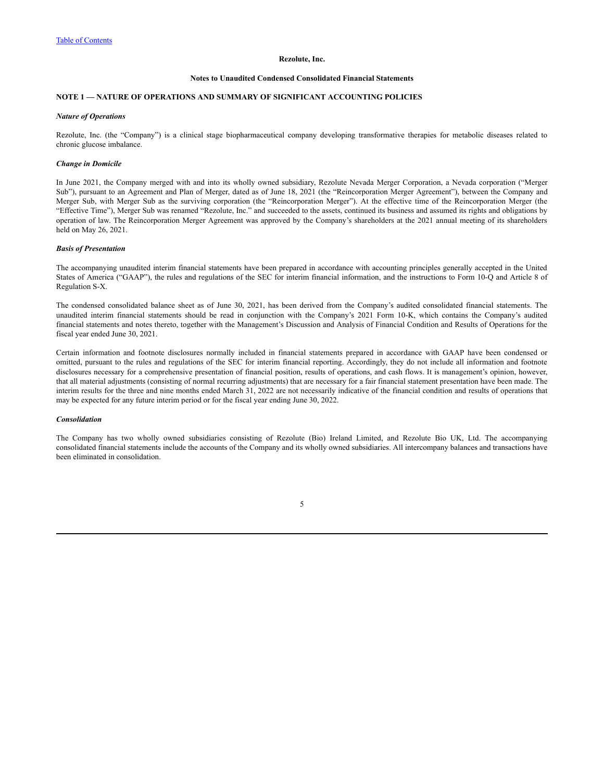#### **Notes to Unaudited Condensed Consolidated Financial Statements**

# <span id="page-7-0"></span>**NOTE 1 — NATURE OF OPERATIONS AND SUMMARY OF SIGNIFICANT ACCOUNTING POLICIES**

#### *Nature of Operations*

Rezolute, Inc. (the "Company") is a clinical stage biopharmaceutical company developing transformative therapies for metabolic diseases related to chronic glucose imbalance.

### *Change in Domicile*

In June 2021, the Company merged with and into its wholly owned subsidiary, Rezolute Nevada Merger Corporation, a Nevada corporation ("Merger Sub"), pursuant to an Agreement and Plan of Merger, dated as of June 18, 2021 (the "Reincorporation Merger Agreement"), between the Company and Merger Sub, with Merger Sub as the surviving corporation (the "Reincorporation Merger"). At the effective time of the Reincorporation Merger (the "Effective Time"), Merger Sub was renamed "Rezolute, Inc." and succeeded to the assets, continued its business and assumed its rights and obligations by operation of law. The Reincorporation Merger Agreement was approved by the Company's shareholders at the 2021 annual meeting of its shareholders held on May 26, 2021.

#### *Basis of Presentation*

The accompanying unaudited interim financial statements have been prepared in accordance with accounting principles generally accepted in the United States of America ("GAAP"), the rules and regulations of the SEC for interim financial information, and the instructions to Form 10-Q and Article 8 of Regulation S-X.

The condensed consolidated balance sheet as of June 30, 2021, has been derived from the Company's audited consolidated financial statements. The unaudited interim financial statements should be read in conjunction with the Company's 2021 Form 10-K, which contains the Company's audited financial statements and notes thereto, together with the Management's Discussion and Analysis of Financial Condition and Results of Operations for the fiscal year ended June 30, 2021.

Certain information and footnote disclosures normally included in financial statements prepared in accordance with GAAP have been condensed or omitted, pursuant to the rules and regulations of the SEC for interim financial reporting. Accordingly, they do not include all information and footnote disclosures necessary for a comprehensive presentation of financial position, results of operations, and cash flows. It is management's opinion, however, that all material adjustments (consisting of normal recurring adjustments) that are necessary for a fair financial statement presentation have been made. The interim results for the three and nine months ended March 31, 2022 are not necessarily indicative of the financial condition and results of operations that may be expected for any future interim period or for the fiscal year ending June 30, 2022.

#### *Consolidation*

The Company has two wholly owned subsidiaries consisting of Rezolute (Bio) Ireland Limited, and Rezolute Bio UK, Ltd. The accompanying consolidated financial statements include the accounts of the Company and its wholly owned subsidiaries. All intercompany balances and transactions have been eliminated in consolidation.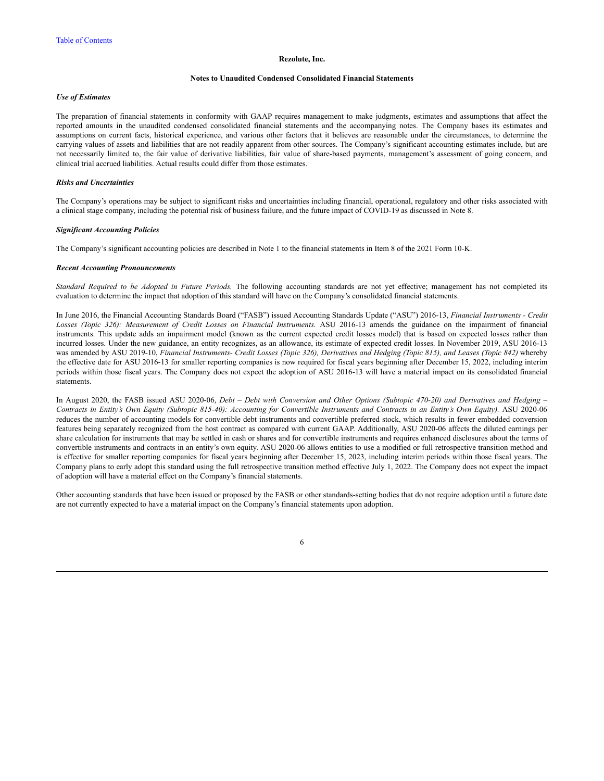### **Notes to Unaudited Condensed Consolidated Financial Statements**

### *Use of Estimates*

The preparation of financial statements in conformity with GAAP requires management to make judgments, estimates and assumptions that affect the reported amounts in the unaudited condensed consolidated financial statements and the accompanying notes. The Company bases its estimates and assumptions on current facts, historical experience, and various other factors that it believes are reasonable under the circumstances, to determine the carrying values of assets and liabilities that are not readily apparent from other sources. The Company's significant accounting estimates include, but are not necessarily limited to, the fair value of derivative liabilities, fair value of share-based payments, management's assessment of going concern, and clinical trial accrued liabilities. Actual results could differ from those estimates.

#### *Risks and Uncertainties*

The Company's operations may be subject to significant risks and uncertainties including financial, operational, regulatory and other risks associated with a clinical stage company, including the potential risk of business failure, and the future impact of COVID-19 as discussed in Note 8.

#### *Significant Accounting Policies*

The Company's significant accounting policies are described in Note 1 to the financial statements in Item 8 of the 2021 Form 10-K.

#### *Recent Accounting Pronouncements*

*Standard Required to be Adopted in Future Periods.* The following accounting standards are not yet effective; management has not completed its evaluation to determine the impact that adoption of this standard will have on the Company's consolidated financial statements.

In June 2016, the Financial Accounting Standards Board ("FASB") issued Accounting Standards Update ("ASU") 2016-13, *Financial Instruments - Credit Losses (Topic 326): Measurement of Credit Losses on Financial Instruments.* ASU 2016-13 amends the guidance on the impairment of financial instruments. This update adds an impairment model (known as the current expected credit losses model) that is based on expected losses rather than incurred losses. Under the new guidance, an entity recognizes, as an allowance, its estimate of expected credit losses. In November 2019, ASU 2016-13 was amended by ASU 2019-10, Financial Instruments- Credit Losses (Topic 326), Derivatives and Hedging (Topic 815), and Leases (Topic 842) whereby the effective date for ASU 2016-13 for smaller reporting companies is now required for fiscal years beginning after December 15, 2022, including interim periods within those fiscal years. The Company does not expect the adoption of ASU 2016-13 will have a material impact on its consolidated financial statements.

In August 2020, the FASB issued ASU 2020-06, Debt - Debt with Conversion and Other Options (Subtopic 470-20) and Derivatives and Hedging -Contracts in Entity's Own Equity (Subtopic 815-40): Accounting for Convertible Instruments and Contracts in an Entity's Own Equity). ASU 2020-06 reduces the number of accounting models for convertible debt instruments and convertible preferred stock, which results in fewer embedded conversion features being separately recognized from the host contract as compared with current GAAP. Additionally, ASU 2020-06 affects the diluted earnings per share calculation for instruments that may be settled in cash or shares and for convertible instruments and requires enhanced disclosures about the terms of convertible instruments and contracts in an entity's own equity. ASU 2020-06 allows entities to use a modified or full retrospective transition method and is effective for smaller reporting companies for fiscal years beginning after December 15, 2023, including interim periods within those fiscal years. The Company plans to early adopt this standard using the full retrospective transition method effective July 1, 2022. The Company does not expect the impact of adoption will have a material effect on the Company's financial statements.

Other accounting standards that have been issued or proposed by the FASB or other standards-setting bodies that do not require adoption until a future date are not currently expected to have a material impact on the Company's financial statements upon adoption.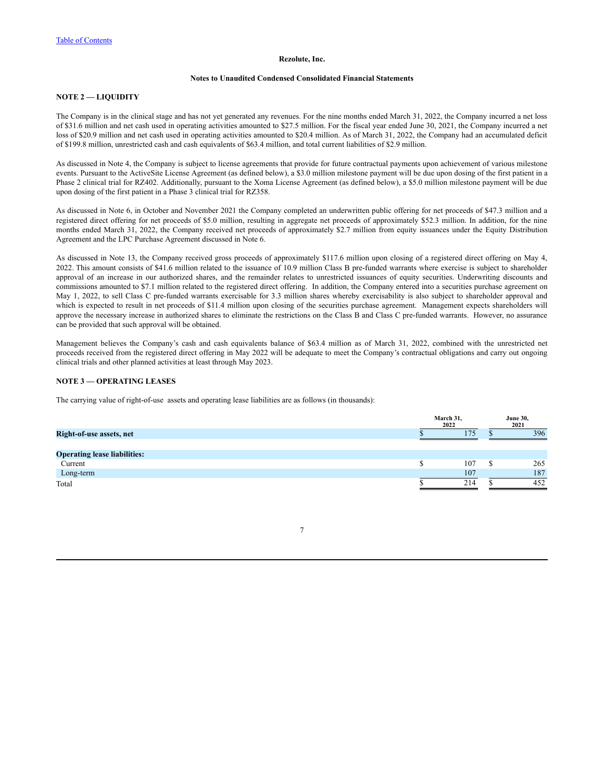## **Notes to Unaudited Condensed Consolidated Financial Statements**

# **NOTE 2 — LIQUIDITY**

The Company is in the clinical stage and has not yet generated any revenues. For the nine months ended March 31, 2022, the Company incurred a net loss of \$31.6 million and net cash used in operating activities amounted to \$27.5 million. For the fiscal year ended June 30, 2021, the Company incurred a net loss of \$20.9 million and net cash used in operating activities amounted to \$20.4 million. As of March 31, 2022, the Company had an accumulated deficit of \$199.8 million, unrestricted cash and cash equivalents of \$63.4 million, and total current liabilities of \$2.9 million.

As discussed in Note 4, the Company is subject to license agreements that provide for future contractual payments upon achievement of various milestone events. Pursuant to the ActiveSite License Agreement (as defined below), a \$3.0 million milestone payment will be due upon dosing of the first patient in a Phase 2 clinical trial for RZ402. Additionally, pursuant to the Xoma License Agreement (as defined below), a \$5.0 million milestone payment will be due upon dosing of the first patient in a Phase 3 clinical trial for RZ358.

As discussed in Note 6, in October and November 2021 the Company completed an underwritten public offering for net proceeds of \$47.3 million and a registered direct offering for net proceeds of \$5.0 million, resulting in aggregate net proceeds of approximately \$52.3 million. In addition, for the nine months ended March 31, 2022, the Company received net proceeds of approximately \$2.7 million from equity issuances under the Equity Distribution Agreement and the LPC Purchase Agreement discussed in Note 6.

As discussed in Note 13, the Company received gross proceeds of approximately \$117.6 million upon closing of a registered direct offering on May 4, 2022. This amount consists of \$41.6 million related to the issuance of 10.9 million Class B pre-funded warrants where exercise is subject to shareholder approval of an increase in our authorized shares, and the remainder relates to unrestricted issuances of equity securities. Underwriting discounts and commissions amounted to \$7.1 million related to the registered direct offering. In addition, the Company entered into a securities purchase agreement on May 1, 2022, to sell Class C pre-funded warrants exercisable for 3.3 million shares whereby exercisability is also subject to shareholder approval and which is expected to result in net proceeds of \$11.4 million upon closing of the securities purchase agreement. Management expects shareholders will approve the necessary increase in authorized shares to eliminate the restrictions on the Class B and Class C pre-funded warrants. However, no assurance can be provided that such approval will be obtained.

Management believes the Company's cash and cash equivalents balance of \$63.4 million as of March 31, 2022, combined with the unrestricted net proceeds received from the registered direct offering in May 2022 will be adequate to meet the Company's contractual obligations and carry out ongoing clinical trials and other planned activities at least through May 2023.

# **NOTE 3 — OPERATING LEASES**

The carrying value of right-of-use assets and operating lease liabilities are as follows (in thousands):

|                                     | March 31,<br>2022 | <b>June 30,</b><br>2021 |  |  |
|-------------------------------------|-------------------|-------------------------|--|--|
| Right-of-use assets, net            | 75                | 396                     |  |  |
|                                     |                   |                         |  |  |
| <b>Operating lease liabilities:</b> |                   |                         |  |  |
| Current                             | 107               | 265                     |  |  |
| Long-term                           | 107               | 187                     |  |  |
| Total                               | 214               | 452                     |  |  |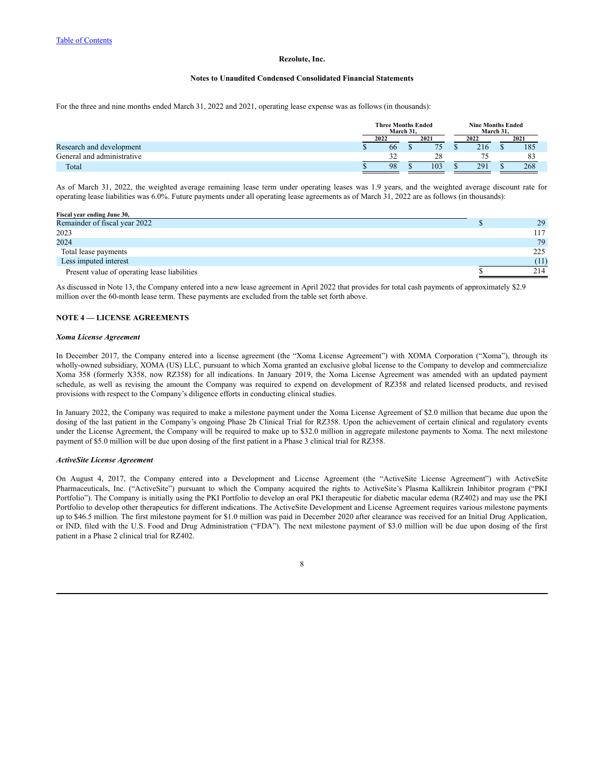### **Notes to Unaudited Condensed Consolidated Financial Statements**

For the three and nine months ended March 31, 2022 and 2021, operating lease expense was as follows (in thousands):

|                            | <b>Three Months Ended</b> | March 31. |      | <b>Nine Months Ended</b><br>March 31. |     |      |     |
|----------------------------|---------------------------|-----------|------|---------------------------------------|-----|------|-----|
|                            | 2021<br>2022              |           | 2022 |                                       |     | 2021 |     |
| Research and development   | 66                        |           |      |                                       | 216 |      | 185 |
| General and administrative | $2^{\prime}$<br>- -       |           | 28   |                                       |     |      | 83  |
| Total                      | 98                        |           | 103  |                                       | 291 |      | 268 |

As of March 31, 2022, the weighted average remaining lease term under operating leases was 1.9 years, and the weighted average discount rate for operating lease liabilities was 6.0%. Future payments under all operating lease agreements as of March 31, 2022 are as follows (in thousands):

| Fiscal year ending June 30,                  |      |
|----------------------------------------------|------|
| Remainder of fiscal year 2022                | 29   |
| 2023                                         | 117  |
| 2024                                         | 79   |
| Total lease payments                         | 225  |
| Less imputed interest                        | (11) |
| Present value of operating lease liabilities | 214  |

As discussed in Note 13, the Company entered into a new lease agreement in April 2022 that provides for total cash payments of approximately \$2.9 million over the 60-month lease term. These payments are excluded from the table set forth above.

# **NOTE 4 — LICENSE AGREEMENTS**

#### *Xoma License Agreement*

In December 2017, the Company entered into a license agreement (the "Xoma License Agreement") with XOMA Corporation ("Xoma"), through its wholly-owned subsidiary, XOMA (US) LLC, pursuant to which Xoma granted an exclusive global license to the Company to develop and commercialize Xoma 358 (formerly X358, now RZ358) for all indications. In January 2019, the Xoma License Agreement was amended with an updated payment schedule, as well as revising the amount the Company was required to expend on development of RZ358 and related licensed products, and revised provisions with respect to the Company's diligence efforts in conducting clinical studies.

In January 2022, the Company was required to make a milestone payment under the Xoma License Agreement of \$2.0 million that became due upon the dosing of the last patient in the Company's ongoing Phase 2b Clinical Trial for RZ358. Upon the achievement of certain clinical and regulatory events under the License Agreement, the Company will be required to make up to \$32.0 million in aggregate milestone payments to Xoma. The next milestone payment of \$5.0 million will be due upon dosing of the first patient in a Phase 3 clinical trial for RZ358.

### *ActiveSite License Agreement*

On August 4, 2017, the Company entered into a Development and License Agreement (the "ActiveSite License Agreement") with ActiveSite Pharmaceuticals, Inc. ("ActiveSite") pursuant to which the Company acquired the rights to ActiveSite's Plasma Kallikrein Inhibitor program ("PKI Portfolio"). The Company is initially using the PKI Portfolio to develop an oral PKI therapeutic for diabetic macular edema (RZ402) and may use the PKI Portfolio to develop other therapeutics for different indications. The ActiveSite Development and License Agreement requires various milestone payments up to \$46.5 million. The first milestone payment for \$1.0 million was paid in December 2020 after clearance was received for an Initial Drug Application, or IND, filed with the U.S. Food and Drug Administration ("FDA"). The next milestone payment of \$3.0 million will be due upon dosing of the first patient in a Phase 2 clinical trial for RZ402.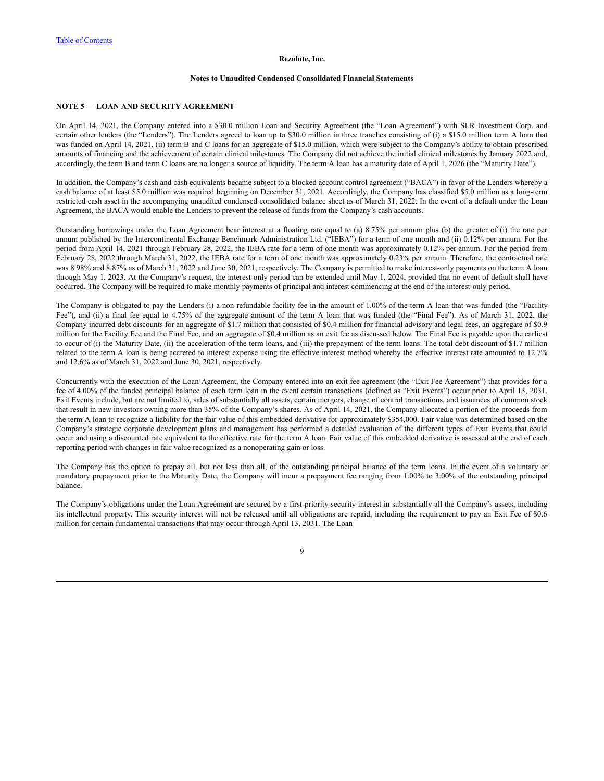### **Notes to Unaudited Condensed Consolidated Financial Statements**

### **NOTE 5 — LOAN AND SECURITY AGREEMENT**

On April 14, 2021, the Company entered into a \$30.0 million Loan and Security Agreement (the "Loan Agreement") with SLR Investment Corp. and certain other lenders (the "Lenders"). The Lenders agreed to loan up to \$30.0 million in three tranches consisting of (i) a \$15.0 million term A loan that was funded on April 14, 2021, (ii) term B and C loans for an aggregate of \$15.0 million, which were subject to the Company's ability to obtain prescribed amounts of financing and the achievement of certain clinical milestones. The Company did not achieve the initial clinical milestones by January 2022 and, accordingly, the term B and term C loans are no longer a source of liquidity. The term A loan has a maturity date of April 1, 2026 (the "Maturity Date").

In addition, the Company's cash and cash equivalents became subject to a blocked account control agreement ("BACA") in favor of the Lenders whereby a cash balance of at least \$5.0 million was required beginning on December 31, 2021. Accordingly, the Company has classified \$5.0 million as a long-term restricted cash asset in the accompanying unaudited condensed consolidated balance sheet as of March 31, 2022. In the event of a default under the Loan Agreement, the BACA would enable the Lenders to prevent the release of funds from the Company's cash accounts.

Outstanding borrowings under the Loan Agreement bear interest at a floating rate equal to (a) 8.75% per annum plus (b) the greater of (i) the rate per annum published by the Intercontinental Exchange Benchmark Administration Ltd. ("IEBA") for a term of one month and (ii) 0.12% per annum. For the period from April 14, 2021 through February 28, 2022, the IEBA rate for a term of one month was approximately 0.12% per annum. For the period from February 28, 2022 through March 31, 2022, the IEBA rate for a term of one month was approximately 0.23% per annum. Therefore, the contractual rate was 8.98% and 8.87% as of March 31, 2022 and June 30, 2021, respectively. The Company is permitted to make interest-only payments on the term A loan through May 1, 2023. At the Company's request, the interest-only period can be extended until May 1, 2024, provided that no event of default shall have occurred. The Company will be required to make monthly payments of principal and interest commencing at the end of the interest-only period.

The Company is obligated to pay the Lenders (i) a non-refundable facility fee in the amount of 1.00% of the term A loan that was funded (the "Facility Fee"), and (ii) a final fee equal to 4.75% of the aggregate amount of the term A loan that was funded (the "Final Fee"). As of March 31, 2022, the Company incurred debt discounts for an aggregate of \$1.7 million that consisted of \$0.4 million for financial advisory and legal fees, an aggregate of \$0.9 million for the Facility Fee and the Final Fee, and an aggregate of \$0.4 million as an exit fee as discussed below. The Final Fee is payable upon the earliest to occur of (i) the Maturity Date, (ii) the acceleration of the term loans, and (iii) the prepayment of the term loans. The total debt discount of \$1.7 million related to the term A loan is being accreted to interest expense using the effective interest method whereby the effective interest rate amounted to 12.7% and 12.6% as of March 31, 2022 and June 30, 2021, respectively.

Concurrently with the execution of the Loan Agreement, the Company entered into an exit fee agreement (the "Exit Fee Agreement") that provides for a fee of 4.00% of the funded principal balance of each term loan in the event certain transactions (defined as "Exit Events") occur prior to April 13, 2031. Exit Events include, but are not limited to, sales of substantially all assets, certain mergers, change of control transactions, and issuances of common stock that result in new investors owning more than 35% of the Company's shares. As of April 14, 2021, the Company allocated a portion of the proceeds from the term A loan to recognize a liability for the fair value of this embedded derivative for approximately \$354,000. Fair value was determined based on the Company's strategic corporate development plans and management has performed a detailed evaluation of the different types of Exit Events that could occur and using a discounted rate equivalent to the effective rate for the term A loan. Fair value of this embedded derivative is assessed at the end of each reporting period with changes in fair value recognized as a nonoperating gain or loss.

The Company has the option to prepay all, but not less than all, of the outstanding principal balance of the term loans. In the event of a voluntary or mandatory prepayment prior to the Maturity Date, the Company will incur a prepayment fee ranging from 1.00% to 3.00% of the outstanding principal balance.

The Company's obligations under the Loan Agreement are secured by a first-priority security interest in substantially all the Company's assets, including its intellectual property. This security interest will not be released until all obligations are repaid, including the requirement to pay an Exit Fee of \$0.6 million for certain fundamental transactions that may occur through April 13, 2031. The Loan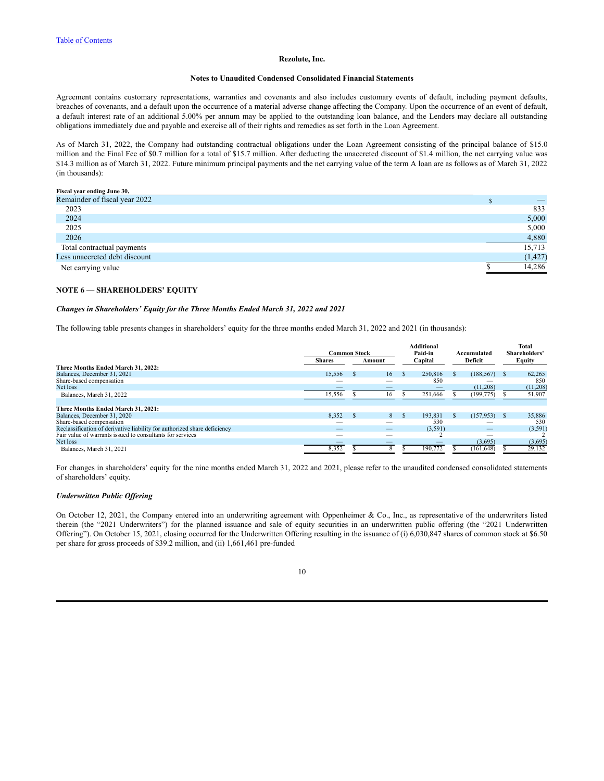#### **Notes to Unaudited Condensed Consolidated Financial Statements**

Agreement contains customary representations, warranties and covenants and also includes customary events of default, including payment defaults, breaches of covenants, and a default upon the occurrence of a material adverse change affecting the Company. Upon the occurrence of an event of default, a default interest rate of an additional 5.00% per annum may be applied to the outstanding loan balance, and the Lenders may declare all outstanding obligations immediately due and payable and exercise all of their rights and remedies as set forth in the Loan Agreement.

As of March 31, 2022, the Company had outstanding contractual obligations under the Loan Agreement consisting of the principal balance of \$15.0 million and the Final Fee of \$0.7 million for a total of \$15.7 million. After deducting the unaccreted discount of \$1.4 million, the net carrying value was \$14.3 million as of March 31, 2022. Future minimum principal payments and the net carrying value of the term A loan are as follows as of March 31, 2022 (in thousands):

### **Fiscal year ending June 30,**

| Remainder of fiscal year 2022 |          |
|-------------------------------|----------|
| 2023                          | 833      |
| 2024                          | 5,000    |
| 2025                          | 5,000    |
| 2026                          | 4,880    |
| Total contractual payments    | 15,713   |
| Less unaccreted debt discount | (1, 427) |
| Net carrying value            | 14,286   |

# **NOTE 6 — SHAREHOLDERS' EQUITY**

### *Changes in Shareholders' Equity for the Three Months Ended March 31, 2022 and 2021*

The following table presents changes in shareholders' equity for the three months ended March 31, 2022 and 2021 (in thousands):

|                                                                          |                     |  |        | <b>Additional</b>      |    |               | Total    |
|--------------------------------------------------------------------------|---------------------|--|--------|------------------------|----|---------------|----------|
|                                                                          | <b>Common Stock</b> |  |        | Paid-in<br>Accumulated |    | Shareholders' |          |
|                                                                          | <b>Shares</b>       |  | Amount | Capital                |    | Deficit       | Equity   |
| Three Months Ended March 31, 2022:                                       |                     |  |        |                        |    |               |          |
| Balances, December 31, 2021                                              | 15.556              |  | 16     | 250.816                | £. | (188, 567)    | 62,265   |
| Share-based compensation                                                 |                     |  |        | 850                    |    |               | 850      |
| Net loss                                                                 |                     |  |        |                        |    | (11,208)      | (11,208) |
| Balances, March 31, 2022                                                 | 15,556              |  |        | 251,666                |    | (199, 775)    | 51,907   |
|                                                                          |                     |  |        |                        |    |               |          |
| Three Months Ended March 31, 2021:                                       |                     |  |        |                        |    |               |          |
| Balances, December 31, 2020                                              | 8,352               |  | 8      | 193,831                | £. | (157, 953)    | 35,886   |
| Share-based compensation                                                 | __                  |  |        | 530                    |    |               | 530      |
| Reclassification of derivative liability for authorized share deficiency | __                  |  | _      | (3,591)                |    |               | (3,591)  |
| Fair value of warrants issued to consultants for services                |                     |  |        |                        |    |               |          |
| Net loss                                                                 |                     |  |        |                        |    | (3,695)       | (3,695)  |
| Balances, March 31, 2021                                                 | 8,352               |  |        | 190,772                |    | (161, 648)    | 29,132   |

For changes in shareholders' equity for the nine months ended March 31, 2022 and 2021, please refer to the unaudited condensed consolidated statements of shareholders' equity.

### *Underwritten Public Of ering*

On October 12, 2021, the Company entered into an underwriting agreement with Oppenheimer & Co., Inc., as representative of the underwriters listed therein (the "2021 Underwriters") for the planned issuance and sale of equity securities in an underwritten public offering (the "2021 Underwritten Offering"). On October 15, 2021, closing occurred for the Underwritten Offering resulting in the issuance of (i) 6,030,847 shares of common stock at \$6.50 per share for gross proceeds of \$39.2 million, and (ii) 1,661,461 pre-funded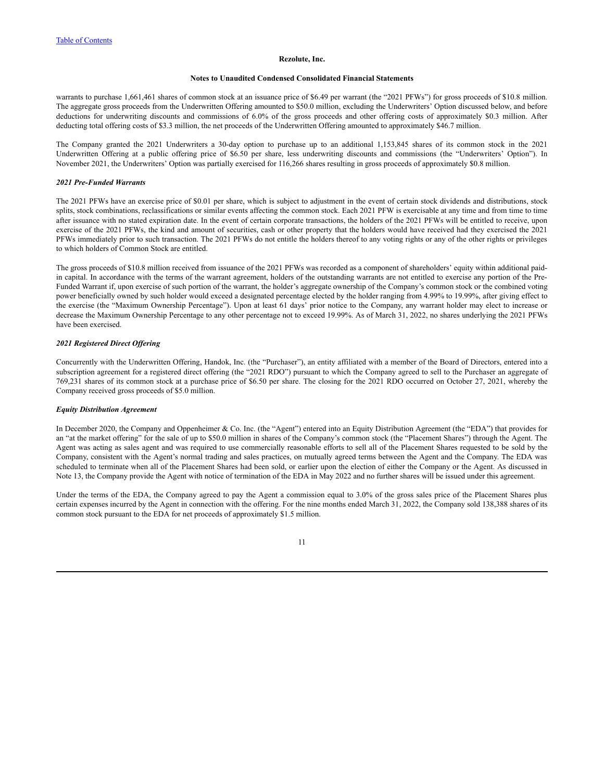#### **Notes to Unaudited Condensed Consolidated Financial Statements**

warrants to purchase 1,661,461 shares of common stock at an issuance price of \$6.49 per warrant (the "2021 PFWs") for gross proceeds of \$10.8 million. The aggregate gross proceeds from the Underwritten Offering amounted to \$50.0 million, excluding the Underwriters' Option discussed below, and before deductions for underwriting discounts and commissions of 6.0% of the gross proceeds and other offering costs of approximately \$0.3 million. After deducting total offering costs of \$3.3 million, the net proceeds of the Underwritten Offering amounted to approximately \$46.7 million.

The Company granted the 2021 Underwriters a 30-day option to purchase up to an additional 1,153,845 shares of its common stock in the 2021 Underwritten Offering at a public offering price of \$6.50 per share, less underwriting discounts and commissions (the "Underwriters' Option"). In November 2021, the Underwriters' Option was partially exercised for 116,266 shares resulting in gross proceeds of approximately \$0.8 million.

### *2021 Pre-Funded Warrants*

The 2021 PFWs have an exercise price of \$0.01 per share, which is subject to adjustment in the event of certain stock dividends and distributions, stock splits, stock combinations, reclassifications or similar events affecting the common stock. Each 2021 PFW is exercisable at any time and from time to time after issuance with no stated expiration date. In the event of certain corporate transactions, the holders of the 2021 PFWs will be entitled to receive, upon exercise of the 2021 PFWs, the kind and amount of securities, cash or other property that the holders would have received had they exercised the 2021 PFWs immediately prior to such transaction. The 2021 PFWs do not entitle the holders thereof to any voting rights or any of the other rights or privileges to which holders of Common Stock are entitled.

The gross proceeds of \$10.8 million received from issuance of the 2021 PFWs was recorded as a component of shareholders' equity within additional paidin capital. In accordance with the terms of the warrant agreement, holders of the outstanding warrants are not entitled to exercise any portion of the Pre-Funded Warrant if, upon exercise of such portion of the warrant, the holder's aggregate ownership of the Company's common stock or the combined voting power beneficially owned by such holder would exceed a designated percentage elected by the holder ranging from 4.99% to 19.99%, after giving effect to the exercise (the "Maximum Ownership Percentage"). Upon at least 61 days' prior notice to the Company, any warrant holder may elect to increase or decrease the Maximum Ownership Percentage to any other percentage not to exceed 19.99%. As of March 31, 2022, no shares underlying the 2021 PFWs have been exercised.

## *2021 Registered Direct Of ering*

Concurrently with the Underwritten Offering, Handok, Inc. (the "Purchaser"), an entity affiliated with a member of the Board of Directors, entered into a subscription agreement for a registered direct offering (the "2021 RDO") pursuant to which the Company agreed to sell to the Purchaser an aggregate of 769,231 shares of its common stock at a purchase price of \$6.50 per share. The closing for the 2021 RDO occurred on October 27, 2021, whereby the Company received gross proceeds of \$5.0 million.

### *Equity Distribution Agreement*

In December 2020, the Company and Oppenheimer & Co. Inc. (the "Agent") entered into an Equity Distribution Agreement (the "EDA") that provides for an "at the market offering" for the sale of up to \$50.0 million in shares of the Company's common stock (the "Placement Shares") through the Agent. The Agent was acting as sales agent and was required to use commercially reasonable efforts to sell all of the Placement Shares requested to be sold by the Company, consistent with the Agent's normal trading and sales practices, on mutually agreed terms between the Agent and the Company. The EDA was scheduled to terminate when all of the Placement Shares had been sold, or earlier upon the election of either the Company or the Agent. As discussed in Note 13, the Company provide the Agent with notice of termination of the EDA in May 2022 and no further shares will be issued under this agreement.

Under the terms of the EDA, the Company agreed to pay the Agent a commission equal to 3.0% of the gross sales price of the Placement Shares plus certain expenses incurred by the Agent in connection with the offering. For the nine months ended March 31, 2022, the Company sold 138,388 shares of its common stock pursuant to the EDA for net proceeds of approximately \$1.5 million.

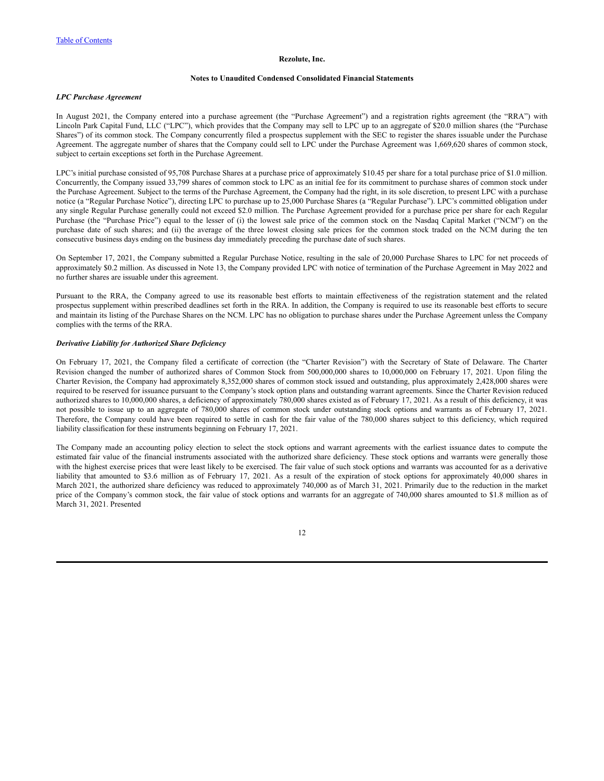### **Notes to Unaudited Condensed Consolidated Financial Statements**

### *LPC Purchase Agreement*

In August 2021, the Company entered into a purchase agreement (the "Purchase Agreement") and a registration rights agreement (the "RRA") with Lincoln Park Capital Fund, LLC ("LPC"), which provides that the Company may sell to LPC up to an aggregate of \$20.0 million shares (the "Purchase Shares") of its common stock. The Company concurrently filed a prospectus supplement with the SEC to register the shares issuable under the Purchase Agreement. The aggregate number of shares that the Company could sell to LPC under the Purchase Agreement was 1,669,620 shares of common stock, subject to certain exceptions set forth in the Purchase Agreement.

LPC's initial purchase consisted of 95,708 Purchase Shares at a purchase price of approximately \$10.45 per share for a total purchase price of \$1.0 million. Concurrently, the Company issued 33,799 shares of common stock to LPC as an initial fee for its commitment to purchase shares of common stock under the Purchase Agreement. Subject to the terms of the Purchase Agreement, the Company had the right, in its sole discretion, to present LPC with a purchase notice (a "Regular Purchase Notice"), directing LPC to purchase up to 25,000 Purchase Shares (a "Regular Purchase"). LPC's committed obligation under any single Regular Purchase generally could not exceed \$2.0 million. The Purchase Agreement provided for a purchase price per share for each Regular Purchase (the "Purchase Price") equal to the lesser of (i) the lowest sale price of the common stock on the Nasdaq Capital Market ("NCM") on the purchase date of such shares; and (ii) the average of the three lowest closing sale prices for the common stock traded on the NCM during the ten consecutive business days ending on the business day immediately preceding the purchase date of such shares.

On September 17, 2021, the Company submitted a Regular Purchase Notice, resulting in the sale of 20,000 Purchase Shares to LPC for net proceeds of approximately \$0.2 million. As discussed in Note 13, the Company provided LPC with notice of termination of the Purchase Agreement in May 2022 and no further shares are issuable under this agreement.

Pursuant to the RRA, the Company agreed to use its reasonable best efforts to maintain effectiveness of the registration statement and the related prospectus supplement within prescribed deadlines set forth in the RRA. In addition, the Company is required to use its reasonable best efforts to secure and maintain its listing of the Purchase Shares on the NCM. LPC has no obligation to purchase shares under the Purchase Agreement unless the Company complies with the terms of the RRA.

## *Derivative Liability for Authorized Share Deficiency*

On February 17, 2021, the Company filed a certificate of correction (the "Charter Revision") with the Secretary of State of Delaware. The Charter Revision changed the number of authorized shares of Common Stock from 500,000,000 shares to 10,000,000 on February 17, 2021. Upon filing the Charter Revision, the Company had approximately 8,352,000 shares of common stock issued and outstanding, plus approximately 2,428,000 shares were required to be reserved for issuance pursuant to the Company's stock option plans and outstanding warrant agreements. Since the Charter Revision reduced authorized shares to 10,000,000 shares, a deficiency of approximately 780,000 shares existed as of February 17, 2021. As a result of this deficiency, it was not possible to issue up to an aggregate of 780,000 shares of common stock under outstanding stock options and warrants as of February 17, 2021. Therefore, the Company could have been required to settle in cash for the fair value of the 780,000 shares subject to this deficiency, which required liability classification for these instruments beginning on February 17, 2021.

The Company made an accounting policy election to select the stock options and warrant agreements with the earliest issuance dates to compute the estimated fair value of the financial instruments associated with the authorized share deficiency. These stock options and warrants were generally those with the highest exercise prices that were least likely to be exercised. The fair value of such stock options and warrants was accounted for as a derivative liability that amounted to \$3.6 million as of February 17, 2021. As a result of the expiration of stock options for approximately 40,000 shares in March 2021, the authorized share deficiency was reduced to approximately 740,000 as of March 31, 2021. Primarily due to the reduction in the market price of the Company's common stock, the fair value of stock options and warrants for an aggregate of 740,000 shares amounted to \$1.8 million as of March 31, 2021. Presented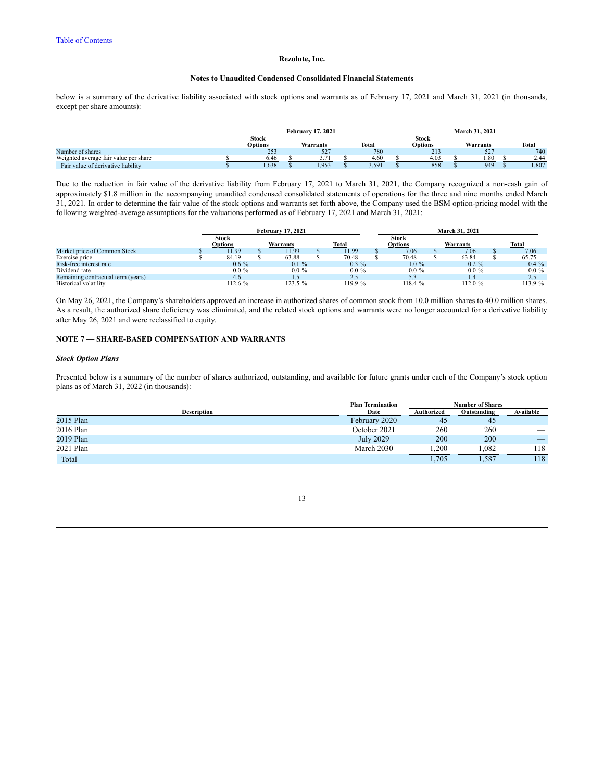### **Notes to Unaudited Condensed Consolidated Financial Statements**

below is a summary of the derivative liability associated with stock options and warrants as of February 17, 2021 and March 31, 2021 (in thousands, except per share amounts):

|                                       | <b>February 17, 2021</b> |  |                               |  |       |  | March 31, 2021          |  |          |  |       |  |  |
|---------------------------------------|--------------------------|--|-------------------------------|--|-------|--|-------------------------|--|----------|--|-------|--|--|
|                                       | Stock<br>Options         |  | Warrants                      |  | Total |  | Stock<br><b>Options</b> |  | Warrants |  | Total |  |  |
| Number of shares                      | 253                      |  | 52 <sub>1</sub>               |  | 780   |  | 21.5                    |  | JZ       |  | 740   |  |  |
| Weighted average fair value per share | 6.46                     |  |                               |  | 4.60  |  | 4.03                    |  | .80      |  | 2.44  |  |  |
| Fair value of derivative liability    | 1,638                    |  | $95^\circ$<br>1, <i>) J J</i> |  | 3,591 |  | 858                     |  | 949      |  | 1,807 |  |  |

Due to the reduction in fair value of the derivative liability from February 17, 2021 to March 31, 2021, the Company recognized a non-cash gain of approximately \$1.8 million in the accompanying unaudited condensed consolidated statements of operations for the three and nine months ended March 31, 2021. In order to determine the fair value of the stock options and warrants set forth above, the Company used the BSM option-pricing model with the following weighted-average assumptions for the valuations performed as of February 17, 2021 and March 31, 2021:

|                                    | <b>February 17, 2021</b> |  |          |  | <b>March 31, 2021</b> |  |              |  |          |  |          |
|------------------------------------|--------------------------|--|----------|--|-----------------------|--|--------------|--|----------|--|----------|
|                                    | Stock                    |  |          |  |                       |  | <b>Stock</b> |  |          |  |          |
|                                    | <b>Options</b>           |  | Warrants |  | <b>Total</b>          |  | Options      |  | Warrants |  | Total    |
| Market price of Common Stock       | 11.99                    |  | 11.99    |  | 11.99                 |  | 7.06         |  | 7.06     |  | 7.06     |
| Exercise price                     | 84.19                    |  | 63.88    |  | 70.48                 |  | 70.48        |  | 63.84    |  | 65.75    |
| Risk-free interest rate            | $0.6\%$                  |  | $0.1 \%$ |  | $0.3\%$               |  | $1.0 \%$     |  | $0.2 \%$ |  | $0.4\%$  |
| Dividend rate                      | $0.0 \%$                 |  | $0.0 \%$ |  | $0.0 \%$              |  | $0.0 \%$     |  | $00\%$   |  | $0.0 \%$ |
| Remaining contractual term (years) | 4.6                      |  |          |  | 2.5                   |  | 5.3          |  | 1.4      |  | 2.5      |
| Historical volatility              | 112.6%                   |  | 123.5%   |  | 119.9 %               |  | 118.4 %      |  | 112.0%   |  | 113.9 %  |

On May 26, 2021, the Company's shareholders approved an increase in authorized shares of common stock from 10.0 million shares to 40.0 million shares. As a result, the authorized share deficiency was eliminated, and the related stock options and warrants were no longer accounted for a derivative liability after May 26, 2021 and were reclassified to equity.

# **NOTE 7 — SHARE-BASED COMPENSATION AND WARRANTS**

# *Stock Option Plans*

Presented below is a summary of the number of shares authorized, outstanding, and available for future grants under each of the Company's stock option plans as of March 31, 2022 (in thousands):

|                    | <b>Plan Termination</b> | <b>Number of Shares</b> |           |     |  |  |
|--------------------|-------------------------|-------------------------|-----------|-----|--|--|
| <b>Description</b> | Date                    | Authorized              | Available |     |  |  |
| 2015 Plan          | February 2020           | -45                     | 45        |     |  |  |
| 2016 Plan          | October 2021            | 260                     | 260       | __  |  |  |
| 2019 Plan          | <b>July 2029</b>        | 200                     | 200       |     |  |  |
| 2021 Plan          | March 2030              | .200                    | .082      | 118 |  |  |
| Total              |                         | 1,705                   | .587      | 118 |  |  |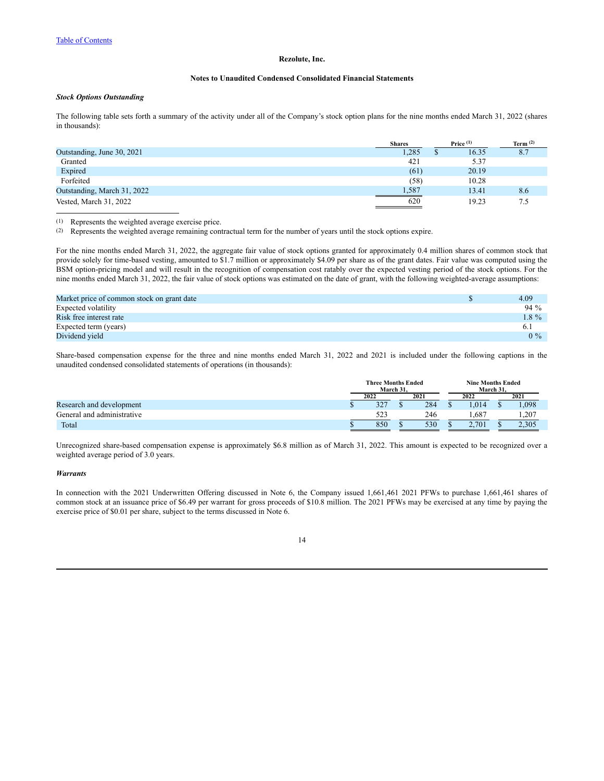### **Notes to Unaudited Condensed Consolidated Financial Statements**

### *Stock Options Outstanding*

The following table sets forth a summary of the activity under all of the Company's stock option plans for the nine months ended March 31, 2022 (shares in thousands):

|                             | <b>Shares</b> | Price $(1)$ | Term $(2)$ |
|-----------------------------|---------------|-------------|------------|
| Outstanding, June 30, 2021  | 1,285         | 16.35       | 8.7        |
| Granted                     | 421           | 5.37        |            |
| Expired                     | (61)          | 20.19       |            |
| Forfeited                   | (58)          | 10.28       |            |
| Outstanding, March 31, 2022 | 1,587         | 13.41       | 8.6        |
| Vested, March 31, 2022      | 620           | 19.23       |            |

(1) Represents the weighted average exercise price.

(2) Represents the weighted average remaining contractual term for the number of years until the stock options expire.

For the nine months ended March 31, 2022, the aggregate fair value of stock options granted for approximately 0.4 million shares of common stock that provide solely for time-based vesting, amounted to \$1.7 million or approximately \$4.09 per share as of the grant dates. Fair value was computed using the BSM option-pricing model and will result in the recognition of compensation cost ratably over the expected vesting period of the stock options. For the nine months ended March 31, 2022, the fair value of stock options was estimated on the date of grant, with the following weighted-average assumptions:

| Market price of common stock on grant date | 4.09    |
|--------------------------------------------|---------|
| Expected volatility                        | $94\%$  |
| Risk free interest rate                    | $1.8\%$ |
| Expected term (years)                      | 6.1     |
| Dividend vield                             | $0\%$   |

Share-based compensation expense for the three and nine months ended March 31, 2022 and 2021 is included under the following captions in the unaudited condensed consolidated statements of operations (in thousands):

|                            |              | <b>Three Months Ended</b><br>March 31. |  |      | <b>Nine Months Ended</b> |       |  |       |
|----------------------------|--------------|----------------------------------------|--|------|--------------------------|-------|--|-------|
|                            | 2021<br>2022 |                                        |  | 2022 |                          | 2021  |  |       |
| Research and development   |              | 327                                    |  | 284  |                          | .014  |  | .098  |
| General and administrative |              | 523                                    |  | 246  |                          | 687   |  | .,207 |
| Total                      |              | 850                                    |  | 530  | $\sqrt{2}$               | 2.701 |  | 2.305 |

Unrecognized share-based compensation expense is approximately \$6.8 million as of March 31, 2022. This amount is expected to be recognized over a weighted average period of 3.0 years.

### *Warrants*

In connection with the 2021 Underwritten Offering discussed in Note 6, the Company issued 1,661,461 2021 PFWs to purchase 1,661,461 shares of common stock at an issuance price of \$6.49 per warrant for gross proceeds of \$10.8 million. The 2021 PFWs may be exercised at any time by paying the exercise price of \$0.01 per share, subject to the terms discussed in Note 6.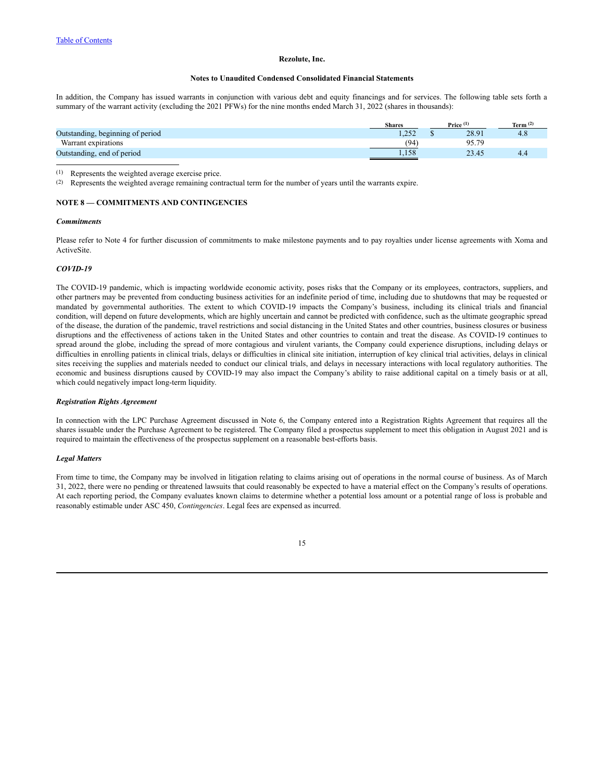### **Notes to Unaudited Condensed Consolidated Financial Statements**

In addition, the Company has issued warrants in conjunction with various debt and equity financings and for services. The following table sets forth a summary of the warrant activity (excluding the 2021 PFWs) for the nine months ended March 31, 2022 (shares in thousands):

|                                  | <b>Shares</b> | Price $(1)$ | Term $(2)$ |
|----------------------------------|---------------|-------------|------------|
| Outstanding, beginning of period | .252          | 28.91       | 4.8        |
| Warrant expirations              | (94           | Q5 70       |            |
| Outstanding, end of period       | 1,158         | 23.45       | 4.4        |
|                                  |               |             |            |

(1) Represents the weighted average exercise price.

(2) Represents the weighted average remaining contractual term for the number of years until the warrants expire.

### **NOTE 8 — COMMITMENTS AND CONTINGENCIES**

### *Commitments*

Please refer to Note 4 for further discussion of commitments to make milestone payments and to pay royalties under license agreements with Xoma and ActiveSite.

### *COVID-19*

The COVID-19 pandemic, which is impacting worldwide economic activity, poses risks that the Company or its employees, contractors, suppliers, and other partners may be prevented from conducting business activities for an indefinite period of time, including due to shutdowns that may be requested or mandated by governmental authorities. The extent to which COVID-19 impacts the Company's business, including its clinical trials and financial condition, will depend on future developments, which are highly uncertain and cannot be predicted with confidence, such as the ultimate geographic spread of the disease, the duration of the pandemic, travel restrictions and social distancing in the United States and other countries, business closures or business disruptions and the effectiveness of actions taken in the United States and other countries to contain and treat the disease. As COVID-19 continues to spread around the globe, including the spread of more contagious and virulent variants, the Company could experience disruptions, including delays or difficulties in enrolling patients in clinical trials, delays or difficulties in clinical site initiation, interruption of key clinical trial activities, delays in clinical sites receiving the supplies and materials needed to conduct our clinical trials, and delays in necessary interactions with local regulatory authorities. The economic and business disruptions caused by COVID-19 may also impact the Company's ability to raise additional capital on a timely basis or at all, which could negatively impact long-term liquidity.

### *Registration Rights Agreement*

In connection with the LPC Purchase Agreement discussed in Note 6, the Company entered into a Registration Rights Agreement that requires all the shares issuable under the Purchase Agreement to be registered. The Company filed a prospectus supplement to meet this obligation in August 2021 and is required to maintain the effectiveness of the prospectus supplement on a reasonable best-efforts basis.

### *Legal Matters*

From time to time, the Company may be involved in litigation relating to claims arising out of operations in the normal course of business. As of March 31, 2022, there were no pending or threatened lawsuits that could reasonably be expected to have a material effect on the Company's results of operations. At each reporting period, the Company evaluates known claims to determine whether a potential loss amount or a potential range of loss is probable and reasonably estimable under ASC 450, *Contingencies*. Legal fees are expensed as incurred.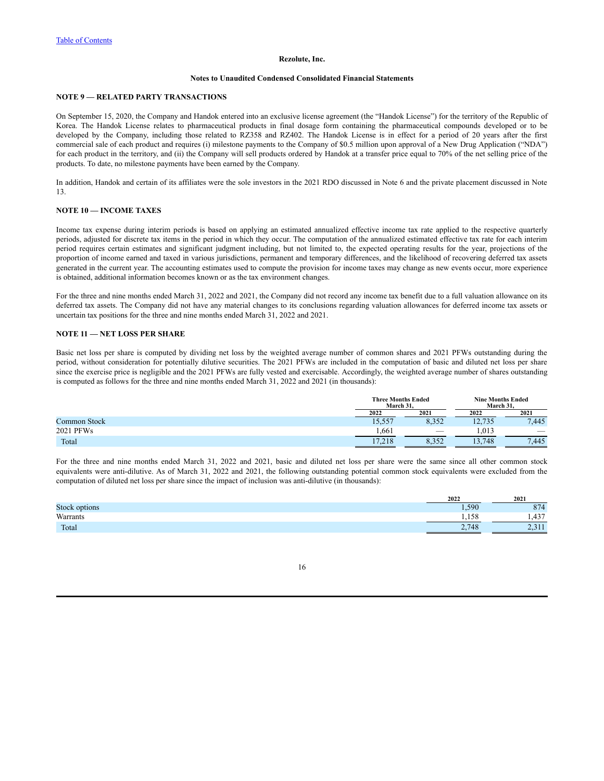### **Notes to Unaudited Condensed Consolidated Financial Statements**

# **NOTE 9 — RELATED PARTY TRANSACTIONS**

On September 15, 2020, the Company and Handok entered into an exclusive license agreement (the "Handok License") for the territory of the Republic of Korea. The Handok License relates to pharmaceutical products in final dosage form containing the pharmaceutical compounds developed or to be developed by the Company, including those related to RZ358 and RZ402. The Handok License is in effect for a period of 20 years after the first commercial sale of each product and requires (i) milestone payments to the Company of \$0.5 million upon approval of a New Drug Application ("NDA") for each product in the territory, and (ii) the Company will sell products ordered by Handok at a transfer price equal to 70% of the net selling price of the products. To date, no milestone payments have been earned by the Company.

In addition, Handok and certain of its affiliates were the sole investors in the 2021 RDO discussed in Note 6 and the private placement discussed in Note 13.

# **NOTE 10 — INCOME TAXES**

Income tax expense during interim periods is based on applying an estimated annualized effective income tax rate applied to the respective quarterly periods, adjusted for discrete tax items in the period in which they occur. The computation of the annualized estimated effective tax rate for each interim period requires certain estimates and significant judgment including, but not limited to, the expected operating results for the year, projections of the proportion of income earned and taxed in various jurisdictions, permanent and temporary differences, and the likelihood of recovering deferred tax assets generated in the current year. The accounting estimates used to compute the provision for income taxes may change as new events occur, more experience is obtained, additional information becomes known or as the tax environment changes.

For the three and nine months ended March 31, 2022 and 2021, the Company did not record any income tax benefit due to a full valuation allowance on its deferred tax assets. The Company did not have any material changes to its conclusions regarding valuation allowances for deferred income tax assets or uncertain tax positions for the three and nine months ended March 31, 2022 and 2021.

### **NOTE 11 — NET LOSS PER SHARE**

Basic net loss per share is computed by dividing net loss by the weighted average number of common shares and 2021 PFWs outstanding during the period, without consideration for potentially dilutive securities. The 2021 PFWs are included in the computation of basic and diluted net loss per share since the exercise price is negligible and the 2021 PFWs are fully vested and exercisable. Accordingly, the weighted average number of shares outstanding is computed as follows for the three and nine months ended March 31, 2022 and 2021 (in thousands):

|              | <b>Three Months Ended</b><br>March 31. |       | <b>Nine Months Ended</b><br>March 31. |       |  |
|--------------|----------------------------------------|-------|---------------------------------------|-------|--|
|              | 2022                                   | 2021  | 2022                                  | 2021  |  |
| Common Stock | 15,557                                 | 8,352 | 12,735                                | 7,445 |  |
| 2021 PFWs    | . 661                                  |       | .013                                  | __    |  |
| Total        | 17.218                                 | 0.332 | 13,748                                | 7.445 |  |

For the three and nine months ended March 31, 2022 and 2021, basic and diluted net loss per share were the same since all other common stock equivalents were anti-dilutive. As of March 31, 2022 and 2021, the following outstanding potential common stock equivalents were excluded from the computation of diluted net loss per share since the impact of inclusion was anti-dilutive (in thousands):

|                 | 2022            | 2021        |
|-----------------|-----------------|-------------|
| Stocl<br>ptions | 590             |             |
| Warrants        | 1.50            | 427<br>1.12 |
| Total           | 2.748<br>$\sim$ | سە          |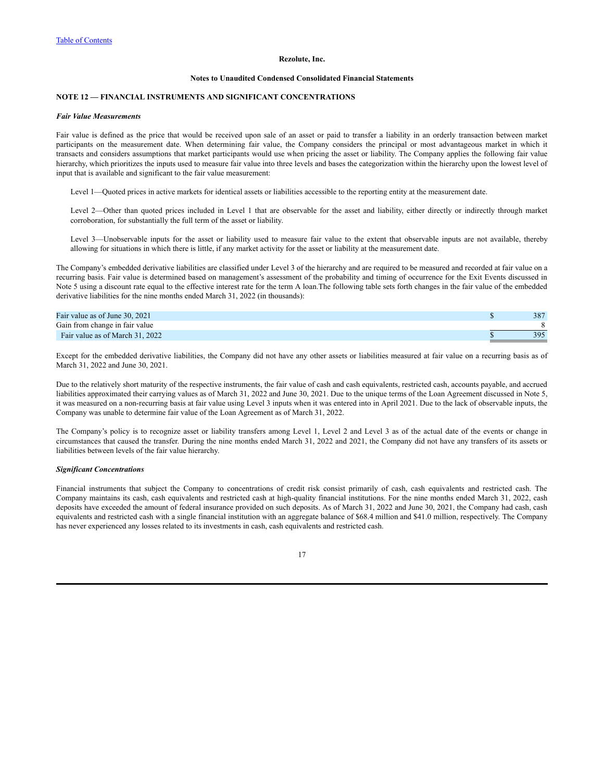#### **Notes to Unaudited Condensed Consolidated Financial Statements**

# **NOTE 12 — FINANCIAL INSTRUMENTS AND SIGNIFICANT CONCENTRATIONS**

#### *Fair Value Measurements*

Fair value is defined as the price that would be received upon sale of an asset or paid to transfer a liability in an orderly transaction between market participants on the measurement date. When determining fair value, the Company considers the principal or most advantageous market in which it transacts and considers assumptions that market participants would use when pricing the asset or liability. The Company applies the following fair value hierarchy, which prioritizes the inputs used to measure fair value into three levels and bases the categorization within the hierarchy upon the lowest level of input that is available and significant to the fair value measurement:

Level 1—Quoted prices in active markets for identical assets or liabilities accessible to the reporting entity at the measurement date.

Level 2—Other than quoted prices included in Level 1 that are observable for the asset and liability, either directly or indirectly through market corroboration, for substantially the full term of the asset or liability.

Level 3—Unobservable inputs for the asset or liability used to measure fair value to the extent that observable inputs are not available, thereby allowing for situations in which there is little, if any market activity for the asset or liability at the measurement date.

The Company's embedded derivative liabilities are classified under Level 3 of the hierarchy and are required to be measured and recorded at fair value on a recurring basis. Fair value is determined based on management's assessment of the probability and timing of occurrence for the Exit Events discussed in Note 5 using a discount rate equal to the effective interest rate for the term A loan.The following table sets forth changes in the fair value of the embedded derivative liabilities for the nine months ended March 31, 2022 (in thousands):

| Fair value as of June 30, 2021  | 387 |
|---------------------------------|-----|
| Gain from change in fair value  |     |
| Fair value as of March 31, 2022 | 395 |

Except for the embedded derivative liabilities, the Company did not have any other assets or liabilities measured at fair value on a recurring basis as of March 31, 2022 and June 30, 2021.

Due to the relatively short maturity of the respective instruments, the fair value of cash and cash equivalents, restricted cash, accounts payable, and accrued liabilities approximated their carrying values as of March 31, 2022 and June 30, 2021. Due to the unique terms of the Loan Agreement discussed in Note 5, it was measured on a non-recurring basis at fair value using Level 3 inputs when it was entered into in April 2021. Due to the lack of observable inputs, the Company was unable to determine fair value of the Loan Agreement as of March 31, 2022.

The Company's policy is to recognize asset or liability transfers among Level 1, Level 2 and Level 3 as of the actual date of the events or change in circumstances that caused the transfer. During the nine months ended March 31, 2022 and 2021, the Company did not have any transfers of its assets or liabilities between levels of the fair value hierarchy.

#### *Significant Concentrations*

Financial instruments that subject the Company to concentrations of credit risk consist primarily of cash, cash equivalents and restricted cash. The Company maintains its cash, cash equivalents and restricted cash at high-quality financial institutions. For the nine months ended March 31, 2022, cash deposits have exceeded the amount of federal insurance provided on such deposits. As of March 31, 2022 and June 30, 2021, the Company had cash, cash equivalents and restricted cash with a single financial institution with an aggregate balance of \$68.4 million and \$41.0 million, respectively. The Company has never experienced any losses related to its investments in cash, cash equivalents and restricted cash.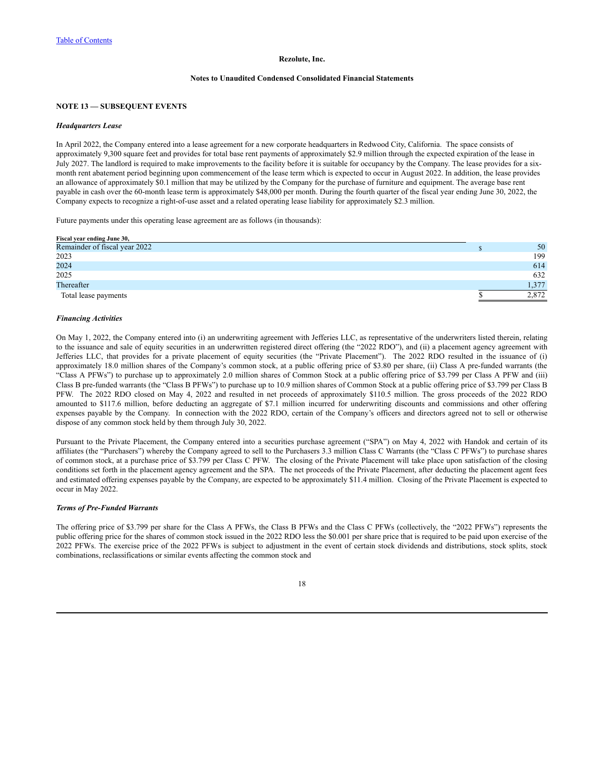### **Notes to Unaudited Condensed Consolidated Financial Statements**

### **NOTE 13 — SUBSEQUENT EVENTS**

#### *Headquarters Lease*

In April 2022, the Company entered into a lease agreement for a new corporate headquarters in Redwood City, California. The space consists of approximately 9,300 square feet and provides for total base rent payments of approximately \$2.9 million through the expected expiration of the lease in July 2027. The landlord is required to make improvements to the facility before it is suitable for occupancy by the Company. The lease provides for a sixmonth rent abatement period beginning upon commencement of the lease term which is expected to occur in August 2022. In addition, the lease provides an allowance of approximately \$0.1 million that may be utilized by the Company for the purchase of furniture and equipment. The average base rent payable in cash over the 60-month lease term is approximately \$48,000 per month. During the fourth quarter of the fiscal year ending June 30, 2022, the Company expects to recognize a right-of-use asset and a related operating lease liability for approximately \$2.3 million.

Future payments under this operating lease agreement are as follows (in thousands):

| Fiscal year ending June 30,   |       |
|-------------------------------|-------|
| Remainder of fiscal year 2022 | 50    |
| 2023                          | 199   |
| 2024                          | 614   |
| 2025                          | 632   |
| Thereafter                    | 1.377 |
| Total lease payments          | 2.872 |

### *Financing Activities*

On May 1, 2022, the Company entered into (i) an underwriting agreement with Jefferies LLC, as representative of the underwriters listed therein, relating to the issuance and sale of equity securities in an underwritten registered direct offering (the "2022 RDO"), and (ii) a placement agency agreement with Jefferies LLC, that provides for a private placement of equity securities (the "Private Placement"). The 2022 RDO resulted in the issuance of (i) approximately 18.0 million shares of the Company's common stock, at a public offering price of \$3.80 per share, (ii) Class A pre-funded warrants (the "Class A PFWs") to purchase up to approximately 2.0 million shares of Common Stock at a public offering price of \$3.799 per Class A PFW and (iii) Class B pre-funded warrants (the "Class B PFWs") to purchase up to 10.9 million shares of Common Stock at a public offering price of \$3.799 per Class B PFW. The 2022 RDO closed on May 4, 2022 and resulted in net proceeds of approximately \$110.5 million. The gross proceeds of the 2022 RDO amounted to \$117.6 million, before deducting an aggregate of \$7.1 million incurred for underwriting discounts and commissions and other offering expenses payable by the Company. In connection with the 2022 RDO, certain of the Company's officers and directors agreed not to sell or otherwise dispose of any common stock held by them through July 30, 2022.

Pursuant to the Private Placement, the Company entered into a securities purchase agreement ("SPA") on May 4, 2022 with Handok and certain of its affiliates (the "Purchasers") whereby the Company agreed to sell to the Purchasers 3.3 million Class C Warrants (the "Class C PFWs") to purchase shares of common stock, at a purchase price of \$3.799 per Class C PFW. The closing of the Private Placement will take place upon satisfaction of the closing conditions set forth in the placement agency agreement and the SPA. The net proceeds of the Private Placement, after deducting the placement agent fees and estimated offering expenses payable by the Company, are expected to be approximately \$11.4 million. Closing of the Private Placement is expected to occur in May 2022.

### *Terms of Pre-Funded Warrants*

The offering price of \$3.799 per share for the Class A PFWs, the Class B PFWs and the Class C PFWs (collectively, the "2022 PFWs") represents the public offering price for the shares of common stock issued in the 2022 RDO less the \$0.001 per share price that is required to be paid upon exercise of the 2022 PFWs. The exercise price of the 2022 PFWs is subject to adjustment in the event of certain stock dividends and distributions, stock splits, stock combinations, reclassifications or similar events affecting the common stock and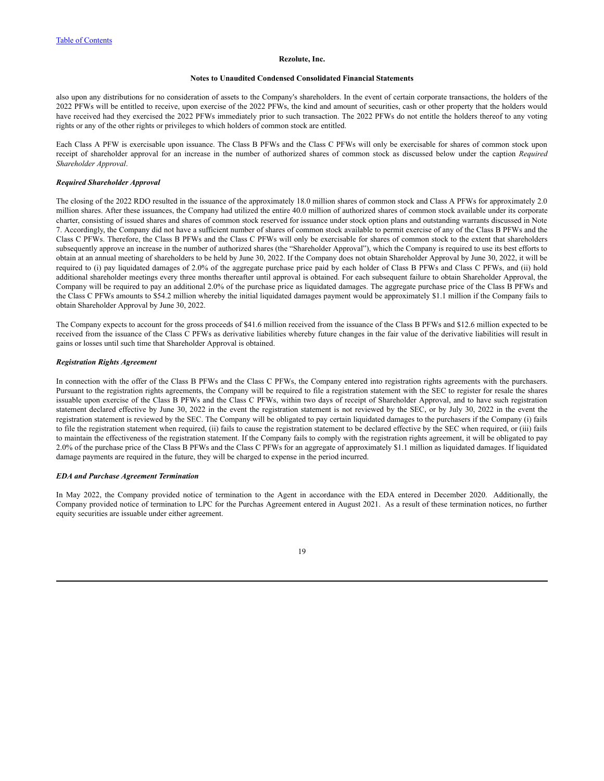#### **Notes to Unaudited Condensed Consolidated Financial Statements**

also upon any distributions for no consideration of assets to the Company's shareholders. In the event of certain corporate transactions, the holders of the 2022 PFWs will be entitled to receive, upon exercise of the 2022 PFWs, the kind and amount of securities, cash or other property that the holders would have received had they exercised the 2022 PFWs immediately prior to such transaction. The 2022 PFWs do not entitle the holders thereof to any voting rights or any of the other rights or privileges to which holders of common stock are entitled.

Each Class A PFW is exercisable upon issuance. The Class B PFWs and the Class C PFWs will only be exercisable for shares of common stock upon receipt of shareholder approval for an increase in the number of authorized shares of common stock as discussed below under the caption *Required Shareholder Approval*.

### *Required Shareholder Approval*

The closing of the 2022 RDO resulted in the issuance of the approximately 18.0 million shares of common stock and Class A PFWs for approximately 2.0 million shares. After these issuances, the Company had utilized the entire 40.0 million of authorized shares of common stock available under its corporate charter, consisting of issued shares and shares of common stock reserved for issuance under stock option plans and outstanding warrants discussed in Note 7. Accordingly, the Company did not have a sufficient number of shares of common stock available to permit exercise of any of the Class B PFWs and the Class C PFWs. Therefore, the Class B PFWs and the Class C PFWs will only be exercisable for shares of common stock to the extent that shareholders subsequently approve an increase in the number of authorized shares (the "Shareholder Approval"), which the Company is required to use its best efforts to obtain at an annual meeting of shareholders to be held by June 30, 2022. If the Company does not obtain Shareholder Approval by June 30, 2022, it will be required to (i) pay liquidated damages of 2.0% of the aggregate purchase price paid by each holder of Class B PFWs and Class C PFWs, and (ii) hold additional shareholder meetings every three months thereafter until approval is obtained. For each subsequent failure to obtain Shareholder Approval, the Company will be required to pay an additional 2.0% of the purchase price as liquidated damages. The aggregate purchase price of the Class B PFWs and the Class C PFWs amounts to \$54.2 million whereby the initial liquidated damages payment would be approximately \$1.1 million if the Company fails to obtain Shareholder Approval by June 30, 2022.

The Company expects to account for the gross proceeds of \$41.6 million received from the issuance of the Class B PFWs and \$12.6 million expected to be received from the issuance of the Class C PFWs as derivative liabilities whereby future changes in the fair value of the derivative liabilities will result in gains or losses until such time that Shareholder Approval is obtained.

### *Registration Rights Agreement*

In connection with the offer of the Class B PFWs and the Class C PFWs, the Company entered into registration rights agreements with the purchasers. Pursuant to the registration rights agreements, the Company will be required to file a registration statement with the SEC to register for resale the shares issuable upon exercise of the Class B PFWs and the Class C PFWs, within two days of receipt of Shareholder Approval, and to have such registration statement declared effective by June 30, 2022 in the event the registration statement is not reviewed by the SEC, or by July 30, 2022 in the event the registration statement is reviewed by the SEC. The Company will be obligated to pay certain liquidated damages to the purchasers if the Company (i) fails to file the registration statement when required, (ii) fails to cause the registration statement to be declared effective by the SEC when required, or (iii) fails to maintain the effectiveness of the registration statement. If the Company fails to comply with the registration rights agreement, it will be obligated to pay 2.0% of the purchase price of the Class B PFWs and the Class C PFWs for an aggregate of approximately \$1.1 million as liquidated damages. If liquidated damage payments are required in the future, they will be charged to expense in the period incurred.

### *EDA and Purchase Agreement Termination*

In May 2022, the Company provided notice of termination to the Agent in accordance with the EDA entered in December 2020. Additionally, the Company provided notice of termination to LPC for the Purchas Agreement entered in August 2021. As a result of these termination notices, no further equity securities are issuable under either agreement.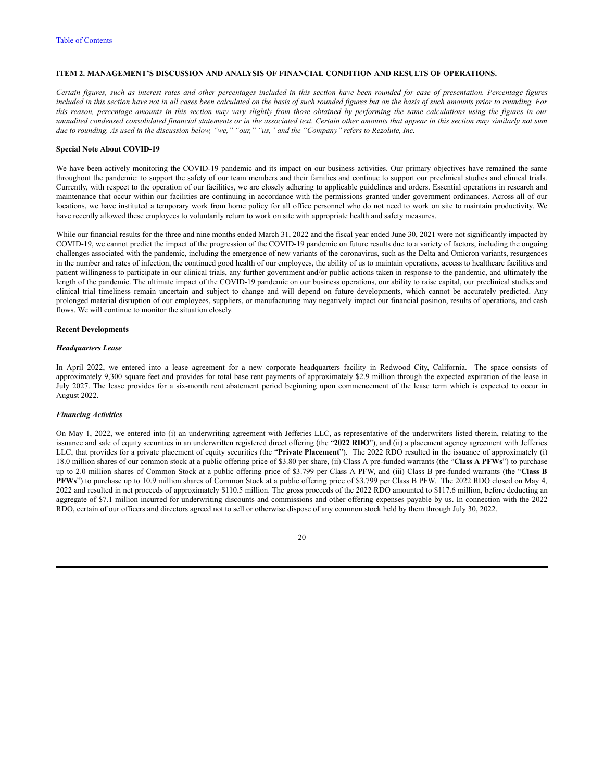# <span id="page-22-0"></span>**ITEM 2. MANAGEMENT'S DISCUSSION AND ANALYSIS OF FINANCIAL CONDITION AND RESULTS OF OPERATIONS.**

Certain figures, such as interest rates and other percentages included in this section have been rounded for ease of presentation. Percentage figures included in this section have not in all cases been calculated on the basis of such rounded figures but on the basis of such amounts prior to rounding. For this reason, percentage amounts in this section may vary slightly from those obtained by performing the same calculations using the figures in our unaudited condensed consolidated financial statements or in the associated text. Certain other amounts that appear in this section may similarly not sum due to rounding. As used in the discussion below, "we," "our," "us," and the "Company" refers to Rezolute, Inc.

### **Special Note About COVID-19**

We have been actively monitoring the COVID-19 pandemic and its impact on our business activities. Our primary objectives have remained the same throughout the pandemic: to support the safety of our team members and their families and continue to support our preclinical studies and clinical trials. Currently, with respect to the operation of our facilities, we are closely adhering to applicable guidelines and orders. Essential operations in research and maintenance that occur within our facilities are continuing in accordance with the permissions granted under government ordinances. Across all of our locations, we have instituted a temporary work from home policy for all office personnel who do not need to work on site to maintain productivity. We have recently allowed these employees to voluntarily return to work on site with appropriate health and safety measures.

While our financial results for the three and nine months ended March 31, 2022 and the fiscal year ended June 30, 2021 were not significantly impacted by COVID-19, we cannot predict the impact of the progression of the COVID-19 pandemic on future results due to a variety of factors, including the ongoing challenges associated with the pandemic, including the emergence of new variants of the coronavirus, such as the Delta and Omicron variants, resurgences in the number and rates of infection, the continued good health of our employees, the ability of us to maintain operations, access to healthcare facilities and patient willingness to participate in our clinical trials, any further government and/or public actions taken in response to the pandemic, and ultimately the length of the pandemic. The ultimate impact of the COVID-19 pandemic on our business operations, our ability to raise capital, our preclinical studies and clinical trial timeliness remain uncertain and subject to change and will depend on future developments, which cannot be accurately predicted. Any prolonged material disruption of our employees, suppliers, or manufacturing may negatively impact our financial position, results of operations, and cash flows. We will continue to monitor the situation closely.

### **Recent Developments**

#### *Headquarters Lease*

In April 2022, we entered into a lease agreement for a new corporate headquarters facility in Redwood City, California. The space consists of approximately 9,300 square feet and provides for total base rent payments of approximately \$2.9 million through the expected expiration of the lease in July 2027. The lease provides for a six-month rent abatement period beginning upon commencement of the lease term which is expected to occur in August 2022.

### *Financing Activities*

On May 1, 2022, we entered into (i) an underwriting agreement with Jefferies LLC, as representative of the underwriters listed therein, relating to the issuance and sale of equity securities in an underwritten registered direct offering (the "**2022 RDO**"), and (ii) a placement agency agreement with Jefferies LLC, that provides for a private placement of equity securities (the "**Private Placement**"). The 2022 RDO resulted in the issuance of approximately (i) 18.0 million shares of our common stock at a public offering price of \$3.80 per share, (ii) Class A pre-funded warrants (the "**Class A PFWs**") to purchase up to 2.0 million shares of Common Stock at a public offering price of \$3.799 per Class A PFW, and (iii) Class B pre-funded warrants (the "**Class B PFWs**") to purchase up to 10.9 million shares of Common Stock at a public offering price of \$3.799 per Class B PFW. The 2022 RDO closed on May 4, 2022 and resulted in net proceeds of approximately \$110.5 million. The gross proceeds of the 2022 RDO amounted to \$117.6 million, before deducting an aggregate of \$7.1 million incurred for underwriting discounts and commissions and other offering expenses payable by us. In connection with the 2022 RDO, certain of our officers and directors agreed not to sell or otherwise dispose of any common stock held by them through July 30, 2022.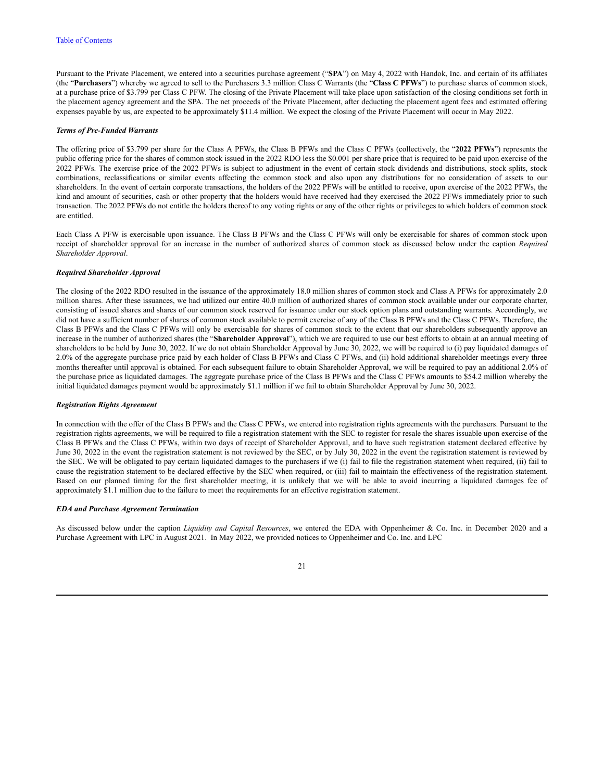Pursuant to the Private Placement, we entered into a securities purchase agreement ("**SPA**") on May 4, 2022 with Handok, Inc. and certain of its affiliates (the "**Purchasers**") whereby we agreed to sell to the Purchasers 3.3 million Class C Warrants (the "**Class C PFWs**") to purchase shares of common stock, at a purchase price of \$3.799 per Class C PFW. The closing of the Private Placement will take place upon satisfaction of the closing conditions set forth in the placement agency agreement and the SPA. The net proceeds of the Private Placement, after deducting the placement agent fees and estimated offering expenses payable by us, are expected to be approximately \$11.4 million. We expect the closing of the Private Placement will occur in May 2022.

### *Terms of Pre-Funded Warrants*

The offering price of \$3.799 per share for the Class A PFWs, the Class B PFWs and the Class C PFWs (collectively, the "**2022 PFWs**") represents the public offering price for the shares of common stock issued in the 2022 RDO less the \$0.001 per share price that is required to be paid upon exercise of the 2022 PFWs. The exercise price of the 2022 PFWs is subject to adjustment in the event of certain stock dividends and distributions, stock splits, stock combinations, reclassifications or similar events affecting the common stock and also upon any distributions for no consideration of assets to our shareholders. In the event of certain corporate transactions, the holders of the 2022 PFWs will be entitled to receive, upon exercise of the 2022 PFWs, the kind and amount of securities, cash or other property that the holders would have received had they exercised the 2022 PFWs immediately prior to such transaction. The 2022 PFWs do not entitle the holders thereof to any voting rights or any of the other rights or privileges to which holders of common stock are entitled.

Each Class A PFW is exercisable upon issuance. The Class B PFWs and the Class C PFWs will only be exercisable for shares of common stock upon receipt of shareholder approval for an increase in the number of authorized shares of common stock as discussed below under the caption *Required Shareholder Approval*.

#### *Required Shareholder Approval*

The closing of the 2022 RDO resulted in the issuance of the approximately 18.0 million shares of common stock and Class A PFWs for approximately 2.0 million shares. After these issuances, we had utilized our entire 40.0 million of authorized shares of common stock available under our corporate charter, consisting of issued shares and shares of our common stock reserved for issuance under our stock option plans and outstanding warrants. Accordingly, we did not have a sufficient number of shares of common stock available to permit exercise of any of the Class B PFWs and the Class C PFWs. Therefore, the Class B PFWs and the Class C PFWs will only be exercisable for shares of common stock to the extent that our shareholders subsequently approve an increase in the number of authorized shares (the "**Shareholder Approval**"), which we are required to use our best efforts to obtain at an annual meeting of shareholders to be held by June 30, 2022. If we do not obtain Shareholder Approval by June 30, 2022, we will be required to (i) pay liquidated damages of 2.0% of the aggregate purchase price paid by each holder of Class B PFWs and Class C PFWs, and (ii) hold additional shareholder meetings every three months thereafter until approval is obtained. For each subsequent failure to obtain Shareholder Approval, we will be required to pay an additional 2.0% of the purchase price as liquidated damages. The aggregate purchase price of the Class B PFWs and the Class C PFWs amounts to \$54.2 million whereby the initial liquidated damages payment would be approximately \$1.1 million if we fail to obtain Shareholder Approval by June 30, 2022.

### *Registration Rights Agreement*

In connection with the offer of the Class B PFWs and the Class C PFWs, we entered into registration rights agreements with the purchasers. Pursuant to the registration rights agreements, we will be required to file a registration statement with the SEC to register for resale the shares issuable upon exercise of the Class B PFWs and the Class C PFWs, within two days of receipt of Shareholder Approval, and to have such registration statement declared effective by June 30, 2022 in the event the registration statement is not reviewed by the SEC, or by July 30, 2022 in the event the registration statement is reviewed by the SEC. We will be obligated to pay certain liquidated damages to the purchasers if we (i) fail to file the registration statement when required, (ii) fail to cause the registration statement to be declared effective by the SEC when required, or (iii) fail to maintain the effectiveness of the registration statement. Based on our planned timing for the first shareholder meeting, it is unlikely that we will be able to avoid incurring a liquidated damages fee of approximately \$1.1 million due to the failure to meet the requirements for an effective registration statement.

#### *EDA and Purchase Agreement Termination*

As discussed below under the caption *Liquidity and Capital Resources*, we entered the EDA with Oppenheimer & Co. Inc. in December 2020 and a Purchase Agreement with LPC in August 2021. In May 2022, we provided notices to Oppenheimer and Co. Inc. and LPC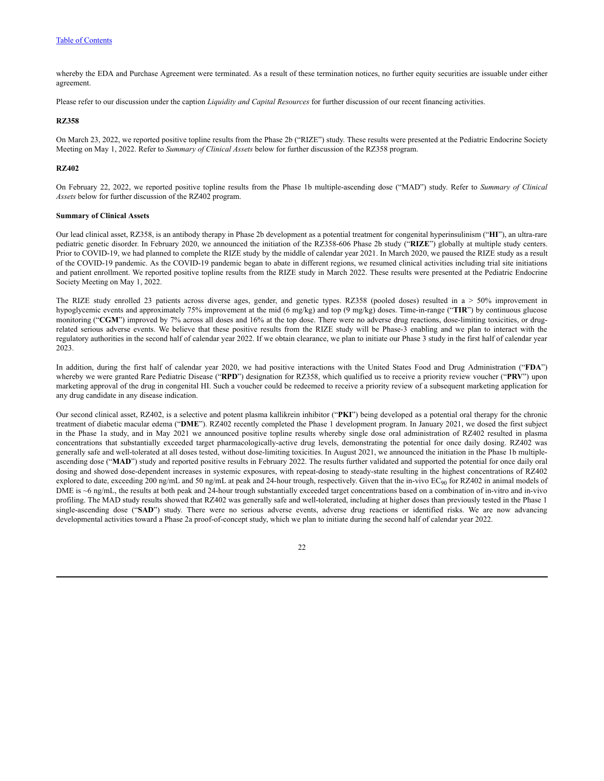whereby the EDA and Purchase Agreement were terminated. As a result of these termination notices, no further equity securities are issuable under either agreement.

Please refer to our discussion under the caption *Liquidity and Capital Resources* for further discussion of our recent financing activities.

## **RZ358**

On March 23, 2022, we reported positive topline results from the Phase 2b ("RIZE") study. These results were presented at the Pediatric Endocrine Society Meeting on May 1, 2022. Refer to *Summary of Clinical Assets* below for further discussion of the RZ358 program.

### **RZ402**

On February 22, 2022, we reported positive topline results from the Phase 1b multiple-ascending dose ("MAD") study. Refer to *Summary of Clinical Assets* below for further discussion of the RZ402 program.

### **Summary of Clinical Assets**

Our lead clinical asset, RZ358, is an antibody therapy in Phase 2b development as a potential treatment for congenital hyperinsulinism ("**HI**"), an ultra-rare pediatric genetic disorder. In February 2020, we announced the initiation of the RZ358-606 Phase 2b study ("**RIZE**") globally at multiple study centers. Prior to COVID-19, we had planned to complete the RIZE study by the middle of calendar year 2021. In March 2020, we paused the RIZE study as a result of the COVID-19 pandemic. As the COVID-19 pandemic began to abate in different regions, we resumed clinical activities including trial site initiations and patient enrollment. We reported positive topline results from the RIZE study in March 2022. These results were presented at the Pediatric Endocrine Society Meeting on May 1, 2022.

The RIZE study enrolled 23 patients across diverse ages, gender, and genetic types. RZ358 (pooled doses) resulted in a > 50% improvement in hypoglycemic events and approximately 75% improvement at the mid (6 mg/kg) and top (9 mg/kg) doses. Time-in-range ("**TIR**") by continuous glucose monitoring ("CGM") improved by 7% across all doses and 16% at the top dose. There were no adverse drug reactions, dose-limiting toxicities, or drugrelated serious adverse events. We believe that these positive results from the RIZE study will be Phase-3 enabling and we plan to interact with the regulatory authorities in the second half of calendar year 2022. If we obtain clearance, we plan to initiate our Phase 3 study in the first half of calendar year 2023.

In addition, during the first half of calendar year 2020, we had positive interactions with the United States Food and Drug Administration ("**FDA**") whereby we were granted Rare Pediatric Disease ("**RPD**") designation for RZ358, which qualified us to receive a priority review voucher ("**PRV**") upon marketing approval of the drug in congenital HI. Such a voucher could be redeemed to receive a priority review of a subsequent marketing application for any drug candidate in any disease indication.

Our second clinical asset, RZ402, is a selective and potent plasma kallikrein inhibitor ("**PKI**") being developed as a potential oral therapy for the chronic treatment of diabetic macular edema ("**DME**"). RZ402 recently completed the Phase 1 development program. In January 2021, we dosed the first subject in the Phase 1a study, and in May 2021 we announced positive topline results whereby single dose oral administration of RZ402 resulted in plasma concentrations that substantially exceeded target pharmacologically-active drug levels, demonstrating the potential for once daily dosing. RZ402 was generally safe and well-tolerated at all doses tested, without dose-limiting toxicities. In August 2021, we announced the initiation in the Phase 1b multipleascending dose ("MAD") study and reported positive results in February 2022. The results further validated and supported the potential for once daily oral dosing and showed dose-dependent increases in systemic exposures, with repeat-dosing to steady-state resulting in the highest concentrations of RZ402 explored to date, exceeding 200 ng/mL and 50 ng/mL at peak and 24-hour trough, respectively. Given that the in-vivo EC<sub>90</sub> for RZ402 in animal models of DME is ~6 ng/mL, the results at both peak and 24-hour trough substantially exceeded target concentrations based on a combination of in-vitro and in-vivo profiling. The MAD study results showed that RZ402 was generally safe and well-tolerated, including at higher doses than previously tested in the Phase 1 single-ascending dose ("**SAD**") study. There were no serious adverse events, adverse drug reactions or identified risks. We are now advancing developmental activities toward a Phase 2a proof-of-concept study, which we plan to initiate during the second half of calendar year 2022.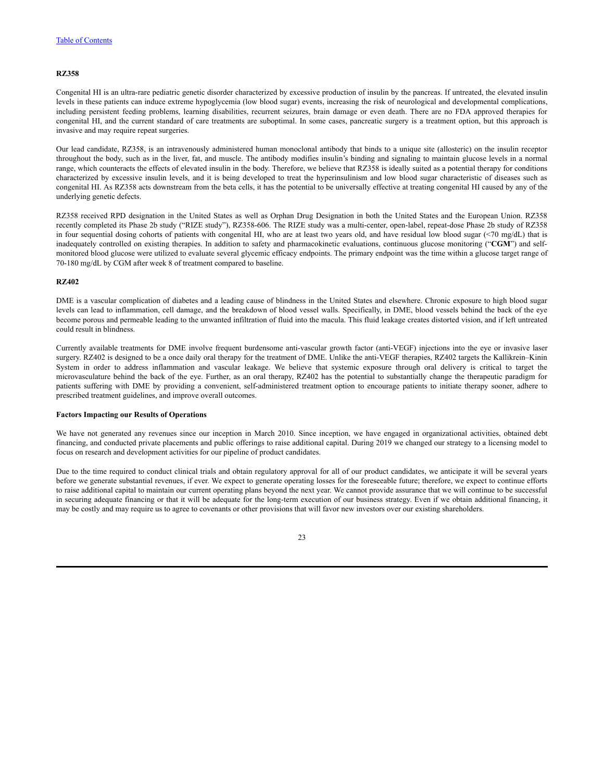#### **RZ358**

Congenital HI is an ultra-rare pediatric genetic disorder characterized by excessive production of insulin by the pancreas. If untreated, the elevated insulin levels in these patients can induce extreme hypoglycemia (low blood sugar) events, increasing the risk of neurological and developmental complications, including persistent feeding problems, learning disabilities, recurrent seizures, brain damage or even death. There are no FDA approved therapies for congenital HI, and the current standard of care treatments are suboptimal. In some cases, pancreatic surgery is a treatment option, but this approach is invasive and may require repeat surgeries.

Our lead candidate, RZ358, is an intravenously administered human monoclonal antibody that binds to a unique site (allosteric) on the insulin receptor throughout the body, such as in the liver, fat, and muscle. The antibody modifies insulin's binding and signaling to maintain glucose levels in a normal range, which counteracts the effects of elevated insulin in the body. Therefore, we believe that RZ358 is ideally suited as a potential therapy for conditions characterized by excessive insulin levels, and it is being developed to treat the hyperinsulinism and low blood sugar characteristic of diseases such as congenital HI. As RZ358 acts downstream from the beta cells, it has the potential to be universally effective at treating congenital HI caused by any of the underlying genetic defects.

RZ358 received RPD designation in the United States as well as Orphan Drug Designation in both the United States and the European Union. RZ358 recently completed its Phase 2b study ("RIZE study"), RZ358-606. The RIZE study was a multi-center, open-label, repeat-dose Phase 2b study of RZ358 in four sequential dosing cohorts of patients with congenital HI, who are at least two years old, and have residual low blood sugar (<70 mg/dL) that is inadequately controlled on existing therapies. In addition to safety and pharmacokinetic evaluations, continuous glucose monitoring ("**CGM**") and selfmonitored blood glucose were utilized to evaluate several glycemic efficacy endpoints. The primary endpoint was the time within a glucose target range of 70-180 mg/dL by CGM after week 8 of treatment compared to baseline.

### **RZ402**

DME is a vascular complication of diabetes and a leading cause of blindness in the United States and elsewhere. Chronic exposure to high blood sugar levels can lead to inflammation, cell damage, and the breakdown of blood vessel walls. Specifically, in DME, blood vessels behind the back of the eye become porous and permeable leading to the unwanted infiltration of fluid into the macula. This fluid leakage creates distorted vision, and if left untreated could result in blindness.

Currently available treatments for DME involve frequent burdensome anti-vascular growth factor (anti-VEGF) injections into the eye or invasive laser surgery. RZ402 is designed to be a once daily oral therapy for the treatment of DME. Unlike the anti-VEGF therapies, RZ402 targets the Kallikrein–Kinin System in order to address inflammation and vascular leakage. We believe that systemic exposure through oral delivery is critical to target the microvasculature behind the back of the eye. Further, as an oral therapy, RZ402 has the potential to substantially change the therapeutic paradigm for patients suffering with DME by providing a convenient, self-administered treatment option to encourage patients to initiate therapy sooner, adhere to prescribed treatment guidelines, and improve overall outcomes.

### **Factors Impacting our Results of Operations**

We have not generated any revenues since our inception in March 2010. Since inception, we have engaged in organizational activities, obtained debt financing, and conducted private placements and public offerings to raise additional capital. During 2019 we changed our strategy to a licensing model to focus on research and development activities for our pipeline of product candidates.

Due to the time required to conduct clinical trials and obtain regulatory approval for all of our product candidates, we anticipate it will be several years before we generate substantial revenues, if ever. We expect to generate operating losses for the foreseeable future; therefore, we expect to continue efforts to raise additional capital to maintain our current operating plans beyond the next year. We cannot provide assurance that we will continue to be successful in securing adequate financing or that it will be adequate for the long-term execution of our business strategy. Even if we obtain additional financing, it may be costly and may require us to agree to covenants or other provisions that will favor new investors over our existing shareholders.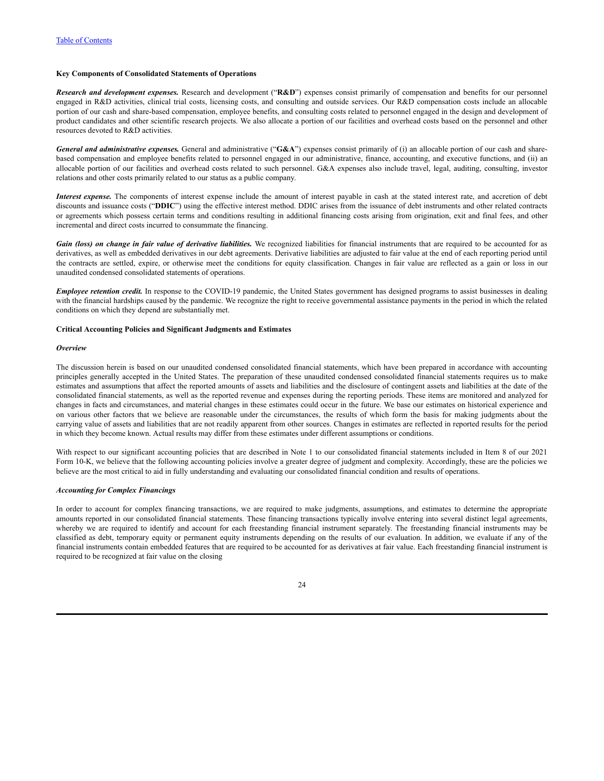# **Key Components of Consolidated Statements of Operations**

*Research and development expenses.* Research and development ("**R&D**") expenses consist primarily of compensation and benefits for our personnel engaged in R&D activities, clinical trial costs, licensing costs, and consulting and outside services. Our R&D compensation costs include an allocable portion of our cash and share-based compensation, employee benefits, and consulting costs related to personnel engaged in the design and development of product candidates and other scientific research projects. We also allocate a portion of our facilities and overhead costs based on the personnel and other resources devoted to R&D activities.

*General and administrative expenses.* General and administrative ("**G&A**") expenses consist primarily of (i) an allocable portion of our cash and sharebased compensation and employee benefits related to personnel engaged in our administrative, finance, accounting, and executive functions, and (ii) an allocable portion of our facilities and overhead costs related to such personnel. G&A expenses also include travel, legal, auditing, consulting, investor relations and other costs primarily related to our status as a public company.

*Interest expense.* The components of interest expense include the amount of interest payable in cash at the stated interest rate, and accretion of debt discounts and issuance costs ("**DDIC**") using the effective interest method. DDIC arises from the issuance of debt instruments and other related contracts or agreements which possess certain terms and conditions resulting in additional financing costs arising from origination, exit and final fees, and other incremental and direct costs incurred to consummate the financing.

Gain (loss) on change in fair value of derivative liabilities. We recognized liabilities for financial instruments that are required to be accounted for as derivatives, as well as embedded derivatives in our debt agreements. Derivative liabilities are adjusted to fair value at the end of each reporting period until the contracts are settled, expire, or otherwise meet the conditions for equity classification. Changes in fair value are reflected as a gain or loss in our unaudited condensed consolidated statements of operations.

*Employee retention credit.* In response to the COVID-19 pandemic, the United States government has designed programs to assist businesses in dealing with the financial hardships caused by the pandemic. We recognize the right to receive governmental assistance payments in the period in which the related conditions on which they depend are substantially met.

### **Critical Accounting Policies and Significant Judgments and Estimates**

#### *Overview*

The discussion herein is based on our unaudited condensed consolidated financial statements, which have been prepared in accordance with accounting principles generally accepted in the United States. The preparation of these unaudited condensed consolidated financial statements requires us to make estimates and assumptions that affect the reported amounts of assets and liabilities and the disclosure of contingent assets and liabilities at the date of the consolidated financial statements, as well as the reported revenue and expenses during the reporting periods. These items are monitored and analyzed for changes in facts and circumstances, and material changes in these estimates could occur in the future. We base our estimates on historical experience and on various other factors that we believe are reasonable under the circumstances, the results of which form the basis for making judgments about the carrying value of assets and liabilities that are not readily apparent from other sources. Changes in estimates are reflected in reported results for the period in which they become known. Actual results may differ from these estimates under different assumptions or conditions.

With respect to our significant accounting policies that are described in Note 1 to our consolidated financial statements included in Item 8 of our 2021 Form 10-K, we believe that the following accounting policies involve a greater degree of judgment and complexity. Accordingly, these are the policies we believe are the most critical to aid in fully understanding and evaluating our consolidated financial condition and results of operations.

### *Accounting for Complex Financings*

In order to account for complex financing transactions, we are required to make judgments, assumptions, and estimates to determine the appropriate amounts reported in our consolidated financial statements. These financing transactions typically involve entering into several distinct legal agreements, whereby we are required to identify and account for each freestanding financial instrument separately. The freestanding financial instruments may be classified as debt, temporary equity or permanent equity instruments depending on the results of our evaluation. In addition, we evaluate if any of the financial instruments contain embedded features that are required to be accounted for as derivatives at fair value. Each freestanding financial instrument is required to be recognized at fair value on the closing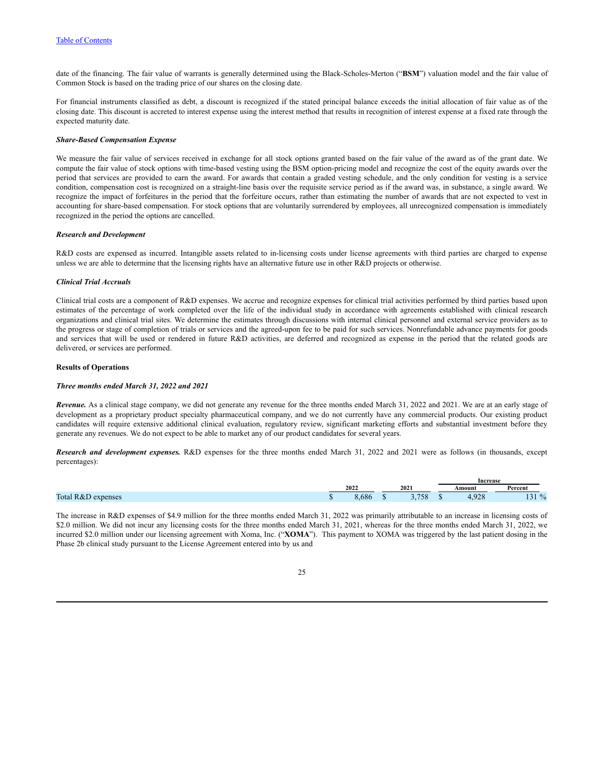date of the financing. The fair value of warrants is generally determined using the Black-Scholes-Merton ("**BSM**") valuation model and the fair value of Common Stock is based on the trading price of our shares on the closing date.

For financial instruments classified as debt, a discount is recognized if the stated principal balance exceeds the initial allocation of fair value as of the closing date. This discount is accreted to interest expense using the interest method that results in recognition of interest expense at a fixed rate through the expected maturity date.

### *Share-Based Compensation Expense*

We measure the fair value of services received in exchange for all stock options granted based on the fair value of the award as of the grant date. We compute the fair value of stock options with time-based vesting using the BSM option-pricing model and recognize the cost of the equity awards over the period that services are provided to earn the award. For awards that contain a graded vesting schedule, and the only condition for vesting is a service condition, compensation cost is recognized on a straight-line basis over the requisite service period as if the award was, in substance, a single award. We recognize the impact of forfeitures in the period that the forfeiture occurs, rather than estimating the number of awards that are not expected to vest in accounting for share-based compensation. For stock options that are voluntarily surrendered by employees, all unrecognized compensation is immediately recognized in the period the options are cancelled.

### *Research and Development*

R&D costs are expensed as incurred. Intangible assets related to in-licensing costs under license agreements with third parties are charged to expense unless we are able to determine that the licensing rights have an alternative future use in other R&D projects or otherwise.

### *Clinical Trial Accruals*

Clinical trial costs are a component of R&D expenses. We accrue and recognize expenses for clinical trial activities performed by third parties based upon estimates of the percentage of work completed over the life of the individual study in accordance with agreements established with clinical research organizations and clinical trial sites. We determine the estimates through discussions with internal clinical personnel and external service providers as to the progress or stage of completion of trials or services and the agreed-upon fee to be paid for such services. Nonrefundable advance payments for goods and services that will be used or rendered in future R&D activities, are deferred and recognized as expense in the period that the related goods are delivered, or services are performed.

### **Results of Operations**

### *Three months ended March 31, 2022 and 2021*

*Revenue.* As a clinical stage company, we did not generate any revenue for the three months ended March 31, 2022 and 2021. We are at an early stage of development as a proprietary product specialty pharmaceutical company, and we do not currently have any commercial products. Our existing product candidates will require extensive additional clinical evaluation, regulatory review, significant marketing efforts and substantial investment before they generate any revenues. We do not expect to be able to market any of our product candidates for several years.

*Research and development expenses.* R&D expenses for the three months ended March 31, 2022 and 2021 were as follows (in thousands, except percentages):

|                                                     |                               |      |               | <b>Increase</b> |             |                    |  |
|-----------------------------------------------------|-------------------------------|------|---------------|-----------------|-------------|--------------------|--|
|                                                     | 2022                          | 2021 |               |                 | Amount      | Percent            |  |
| Total<br>penses<br>$\sim$ $\mathbf{v}$<br>$\lambda$ | $\sim$ 0 $\prime$<br>$\sigma$ |      | $- - -$<br>Эð |                 | 0.20<br>. . | $\mathbf{0}$<br>-- |  |

The increase in R&D expenses of \$4.9 million for the three months ended March 31, 2022 was primarily attributable to an increase in licensing costs of \$2.0 million. We did not incur any licensing costs for the three months ended March 31, 2021, whereas for the three months ended March 31, 2022, we incurred \$2.0 million under our licensing agreement with Xoma, Inc. ("**XOMA**"). This payment to XOMA was triggered by the last patient dosing in the Phase 2b clinical study pursuant to the License Agreement entered into by us and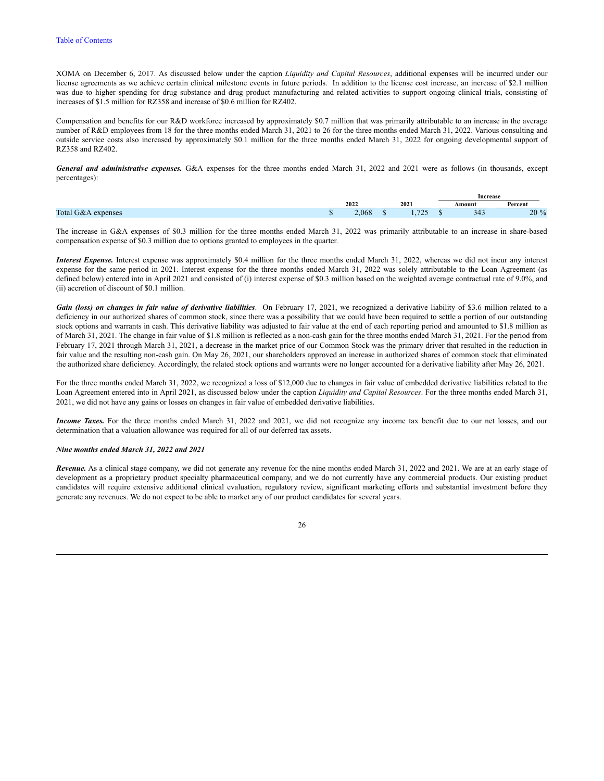XOMA on December 6, 2017. As discussed below under the caption *Liquidity and Capital Resources*, additional expenses will be incurred under our license agreements as we achieve certain clinical milestone events in future periods. In addition to the license cost increase, an increase of \$2.1 million was due to higher spending for drug substance and drug product manufacturing and related activities to support ongoing clinical trials, consisting of increases of \$1.5 million for RZ358 and increase of \$0.6 million for RZ402.

Compensation and benefits for our R&D workforce increased by approximately \$0.7 million that was primarily attributable to an increase in the average number of R&D employees from 18 for the three months ended March 31, 2021 to 26 for the three months ended March 31, 2022. Various consulting and outside service costs also increased by approximately \$0.1 million for the three months ended March 31, 2022 for ongoing developmental support of RZ358 and RZ402.

*General and administrative expenses.* G&A expenses for the three months ended March 31, 2022 and 2021 were as follows (in thousands, except percentages):

|                        |       |                  |  | Increase |                 |
|------------------------|-------|------------------|--|----------|-----------------|
|                        | 2022  | 2021             |  | Amount   | Percent         |
| Total<br>expenses<br>ю | 2.068 | $\pi \wedge \pi$ |  | シエン      | 20 <sup>9</sup> |

The increase in G&A expenses of \$0.3 million for the three months ended March 31, 2022 was primarily attributable to an increase in share-based compensation expense of \$0.3 million due to options granted to employees in the quarter.

*Interest Expense.* Interest expense was approximately \$0.4 million for the three months ended March 31, 2022, whereas we did not incur any interest expense for the same period in 2021. Interest expense for the three months ended March 31, 2022 was solely attributable to the Loan Agreement (as defined below) entered into in April 2021 and consisted of (i) interest expense of \$0.3 million based on the weighted average contractual rate of 9.0%, and (ii) accretion of discount of \$0.1 million.

*Gain (loss) on changes in fair value of derivative liabilities*. On February 17, 2021, we recognized a derivative liability of \$3.6 million related to a deficiency in our authorized shares of common stock, since there was a possibility that we could have been required to settle a portion of our outstanding stock options and warrants in cash. This derivative liability was adjusted to fair value at the end of each reporting period and amounted to \$1.8 million as of March 31, 2021. The change in fair value of \$1.8 million is reflected as a non-cash gain for the three months ended March 31, 2021. For the period from February 17, 2021 through March 31, 2021, a decrease in the market price of our Common Stock was the primary driver that resulted in the reduction in fair value and the resulting non-cash gain. On May 26, 2021, our shareholders approved an increase in authorized shares of common stock that eliminated the authorized share deficiency. Accordingly, the related stock options and warrants were no longer accounted for a derivative liability after May 26, 2021.

For the three months ended March 31, 2022, we recognized a loss of \$12,000 due to changes in fair value of embedded derivative liabilities related to the Loan Agreement entered into in April 2021, as discussed below under the caption *Liquidity and Capital Resources*. For the three months ended March 31, 2021, we did not have any gains or losses on changes in fair value of embedded derivative liabilities.

*Income Taxes.* For the three months ended March 31, 2022 and 2021, we did not recognize any income tax benefit due to our net losses, and our determination that a valuation allowance was required for all of our deferred tax assets.

### *Nine months ended March 31, 2022 and 2021*

*Revenue.* As a clinical stage company, we did not generate any revenue for the nine months ended March 31, 2022 and 2021. We are at an early stage of development as a proprietary product specialty pharmaceutical company, and we do not currently have any commercial products. Our existing product candidates will require extensive additional clinical evaluation, regulatory review, significant marketing efforts and substantial investment before they generate any revenues. We do not expect to be able to market any of our product candidates for several years.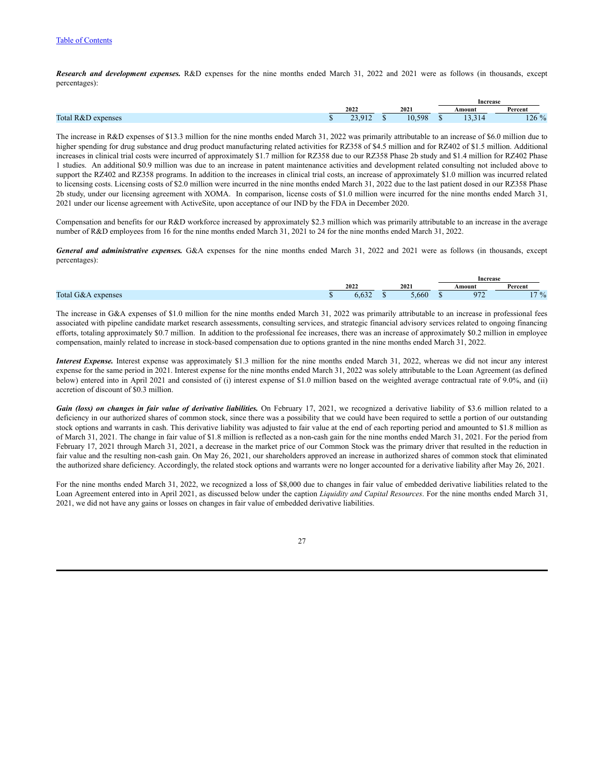### Table of [Contents](#page-1-0)

*Research and development expenses.* R&D expenses for the nine months ended March 31, 2022 and 2021 were as follows (in thousands, except percentages):

|                    |            |      |     |  | Increase            |                         |  |  |  |  |  |
|--------------------|------------|------|-----|--|---------------------|-------------------------|--|--|--|--|--|
|                    | 2022       | 2021 |     |  | Amount              | $\mathbf{r}$<br>Percent |  |  |  |  |  |
| Total R&D expenses | $\pm$<br>. |      | 598 |  | - 14<br>$1 - 1 - 1$ | 126<br>$\Omega'$        |  |  |  |  |  |

The increase in R&D expenses of \$13.3 million for the nine months ended March 31, 2022 was primarily attributable to an increase of \$6.0 million due to higher spending for drug substance and drug product manufacturing related activities for RZ358 of \$4.5 million and for RZ402 of \$1.5 million. Additional increases in clinical trial costs were incurred of approximately \$1.7 million for RZ358 due to our RZ358 Phase 2b study and \$1.4 million for RZ402 Phase 1 studies. An additional \$0.9 million was due to an increase in patent maintenance activities and development related consulting not included above to support the RZ402 and RZ358 programs. In addition to the increases in clinical trial costs, an increase of approximately \$1.0 million was incurred related to licensing costs. Licensing costs of \$2.0 million were incurred in the nine months ended March 31, 2022 due to the last patient dosed in our RZ358 Phase 2b study, under our licensing agreement with XOMA. In comparison, license costs of \$1.0 million were incurred for the nine months ended March 31, 2021 under our license agreement with ActiveSite, upon acceptance of our IND by the FDA in December 2020.

Compensation and benefits for our R&D workforce increased by approximately \$2.3 million which was primarily attributable to an increase in the average number of R&D employees from 16 for the nine months ended March 31, 2021 to 24 for the nine months ended March 31, 2022.

*General and administrative expenses.* G&A expenses for the nine months ended March 31, 2022 and 2021 were as follows (in thousands, except percentages):

|                           |                           |  |      | Increase |        |             |  |  |  |
|---------------------------|---------------------------|--|------|----------|--------|-------------|--|--|--|
|                           | 2022                      |  | 2021 |          | Amount | Percent     |  |  |  |
| Total<br>expenses<br>TOZ. | $\sim$ $\sim$ $\sim$<br>. |  | .660 |          | 1 I L  | 1704<br>. . |  |  |  |

The increase in G&A expenses of \$1.0 million for the nine months ended March 31, 2022 was primarily attributable to an increase in professional fees associated with pipeline candidate market research assessments, consulting services, and strategic financial advisory services related to ongoing financing efforts, totaling approximately \$0.7 million. In addition to the professional fee increases, there was an increase of approximately \$0.2 million in employee compensation, mainly related to increase in stock-based compensation due to options granted in the nine months ended March 31, 2022.

*Interest Expense.* Interest expense was approximately \$1.3 million for the nine months ended March 31, 2022, whereas we did not incur any interest expense for the same period in 2021. Interest expense for the nine months ended March 31, 2022 was solely attributable to the Loan Agreement (as defined below) entered into in April 2021 and consisted of (i) interest expense of \$1.0 million based on the weighted average contractual rate of 9.0%, and (ii) accretion of discount of \$0.3 million.

*Gain (loss) on changes in fair value of derivative liabilities.* On February 17, 2021, we recognized a derivative liability of \$3.6 million related to a deficiency in our authorized shares of common stock, since there was a possibility that we could have been required to settle a portion of our outstanding stock options and warrants in cash. This derivative liability was adjusted to fair value at the end of each reporting period and amounted to \$1.8 million as of March 31, 2021. The change in fair value of \$1.8 million is reflected as a non-cash gain for the nine months ended March 31, 2021. For the period from February 17, 2021 through March 31, 2021, a decrease in the market price of our Common Stock was the primary driver that resulted in the reduction in fair value and the resulting non-cash gain. On May 26, 2021, our shareholders approved an increase in authorized shares of common stock that eliminated the authorized share deficiency. Accordingly, the related stock options and warrants were no longer accounted for a derivative liability after May 26, 2021.

For the nine months ended March 31, 2022, we recognized a loss of \$8,000 due to changes in fair value of embedded derivative liabilities related to the Loan Agreement entered into in April 2021, as discussed below under the caption *Liquidity and Capital Resources*. For the nine months ended March 31, 2021, we did not have any gains or losses on changes in fair value of embedded derivative liabilities.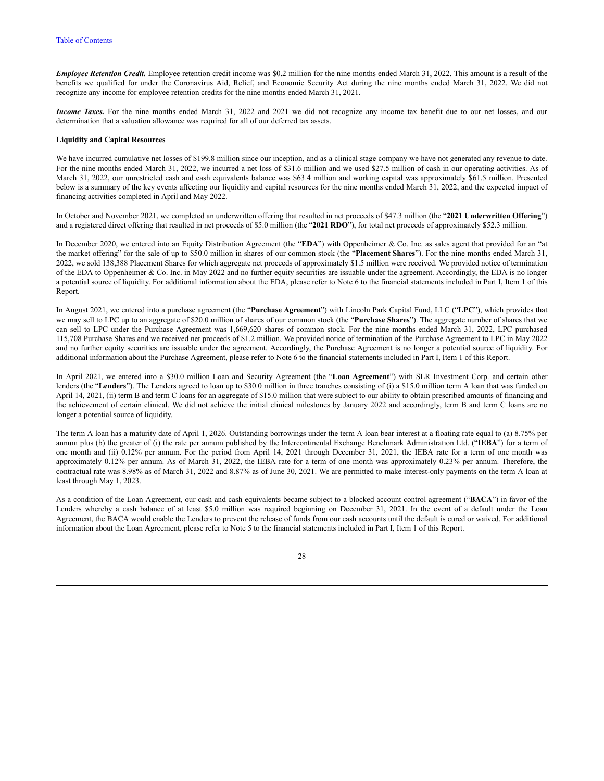*Employee Retention Credit.* Employee retention credit income was \$0.2 million for the nine months ended March 31, 2022. This amount is a result of the benefits we qualified for under the Coronavirus Aid, Relief, and Economic Security Act during the nine months ended March 31, 2022. We did not recognize any income for employee retention credits for the nine months ended March 31, 2021.

*Income Taxes*. For the nine months ended March 31, 2022 and 2021 we did not recognize any income tax benefit due to our net losses, and our determination that a valuation allowance was required for all of our deferred tax assets.

### **Liquidity and Capital Resources**

We have incurred cumulative net losses of \$199.8 million since our inception, and as a clinical stage company we have not generated any revenue to date. For the nine months ended March 31, 2022, we incurred a net loss of \$31.6 million and we used \$27.5 million of cash in our operating activities. As of March 31, 2022, our unrestricted cash and cash equivalents balance was \$63.4 million and working capital was approximately \$61.5 million. Presented below is a summary of the key events affecting our liquidity and capital resources for the nine months ended March 31, 2022, and the expected impact of financing activities completed in April and May 2022.

In October and November 2021, we completed an underwritten offering that resulted in net proceeds of \$47.3 million (the "**2021 Underwritten Offering**") and a registered direct offering that resulted in net proceeds of \$5.0 million (the "**2021 RDO**"), for total net proceeds of approximately \$52.3 million.

In December 2020, we entered into an Equity Distribution Agreement (the "**EDA**") with Oppenheimer & Co. Inc. as sales agent that provided for an "at the market offering" for the sale of up to \$50.0 million in shares of our common stock (the "**Placement Shares**"). For the nine months ended March 31, 2022, we sold 138,388 Placement Shares for which aggregate net proceeds of approximately \$1.5 million were received. We provided notice of termination of the EDA to Oppenheimer & Co. Inc. in May 2022 and no further equity securities are issuable under the agreement. Accordingly, the EDA is no longer a potential source of liquidity. For additional information about the EDA, please refer to Note 6 to the financial statements included in Part I, Item 1 of this Report.

In August 2021, we entered into a purchase agreement (the "**Purchase Agreement**") with Lincoln Park Capital Fund, LLC ("**LPC**"), which provides that we may sell to LPC up to an aggregate of \$20.0 million of shares of our common stock (the "**Purchase Shares**"). The aggregate number of shares that we can sell to LPC under the Purchase Agreement was 1,669,620 shares of common stock. For the nine months ended March 31, 2022, LPC purchased 115,708 Purchase Shares and we received net proceeds of \$1.2 million. We provided notice of termination of the Purchase Agreement to LPC in May 2022 and no further equity securities are issuable under the agreement. Accordingly, the Purchase Agreement is no longer a potential source of liquidity. For additional information about the Purchase Agreement, please refer to Note 6 to the financial statements included in Part I, Item 1 of this Report.

In April 2021, we entered into a \$30.0 million Loan and Security Agreement (the "**Loan Agreement**") with SLR Investment Corp. and certain other lenders (the "**Lenders**"). The Lenders agreed to loan up to \$30.0 million in three tranches consisting of (i) a \$15.0 million term A loan that was funded on April 14, 2021, (ii) term B and term C loans for an aggregate of \$15.0 million that were subject to our ability to obtain prescribed amounts of financing and the achievement of certain clinical. We did not achieve the initial clinical milestones by January 2022 and accordingly, term B and term C loans are no longer a potential source of liquidity.

The term A loan has a maturity date of April 1, 2026. Outstanding borrowings under the term A loan bear interest at a floating rate equal to (a) 8.75% per annum plus (b) the greater of (i) the rate per annum published by the Intercontinental Exchange Benchmark Administration Ltd. ("**IEBA**") for a term of one month and (ii) 0.12% per annum. For the period from April 14, 2021 through December 31, 2021, the IEBA rate for a term of one month was approximately 0.12% per annum. As of March 31, 2022, the IEBA rate for a term of one month was approximately 0.23% per annum. Therefore, the contractual rate was 8.98% as of March 31, 2022 and 8.87% as of June 30, 2021. We are permitted to make interest-only payments on the term A loan at least through May 1, 2023.

As a condition of the Loan Agreement, our cash and cash equivalents became subject to a blocked account control agreement ("**BACA**") in favor of the Lenders whereby a cash balance of at least \$5.0 million was required beginning on December 31, 2021. In the event of a default under the Loan Agreement, the BACA would enable the Lenders to prevent the release of funds from our cash accounts until the default is cured or waived. For additional information about the Loan Agreement, please refer to Note 5 to the financial statements included in Part I, Item 1 of this Report.

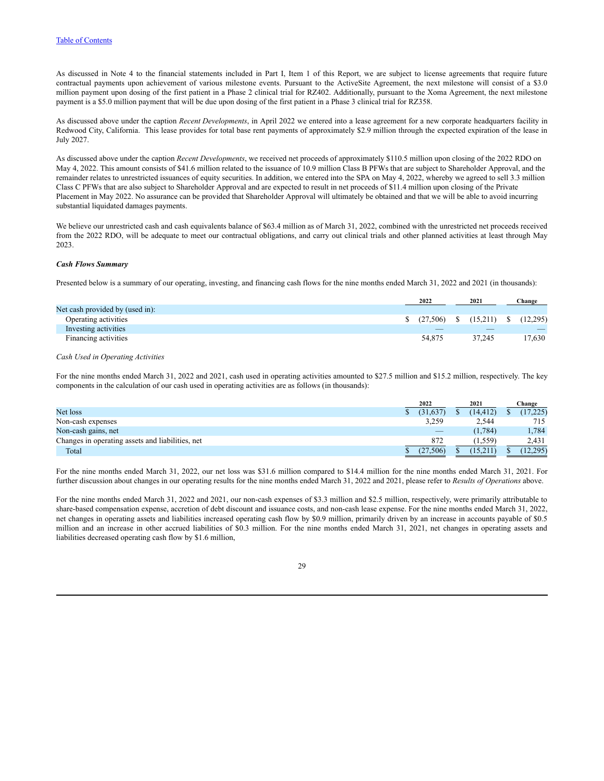As discussed in Note 4 to the financial statements included in Part I, Item 1 of this Report, we are subject to license agreements that require future contractual payments upon achievement of various milestone events. Pursuant to the ActiveSite Agreement, the next milestone will consist of a \$3.0 million payment upon dosing of the first patient in a Phase 2 clinical trial for RZ402. Additionally, pursuant to the Xoma Agreement, the next milestone payment is a \$5.0 million payment that will be due upon dosing of the first patient in a Phase 3 clinical trial for RZ358.

As discussed above under the caption *Recent Developments*, in April 2022 we entered into a lease agreement for a new corporate headquarters facility in Redwood City, California. This lease provides for total base rent payments of approximately \$2.9 million through the expected expiration of the lease in July 2027.

As discussed above under the caption *Recent Developments*, we received net proceeds of approximately \$110.5 million upon closing of the 2022 RDO on May 4, 2022. This amount consists of \$41.6 million related to the issuance of 10.9 million Class B PFWs that are subject to Shareholder Approval, and the remainder relates to unrestricted issuances of equity securities. In addition, we entered into the SPA on May 4, 2022, whereby we agreed to sell 3.3 million Class C PFWs that are also subject to Shareholder Approval and are expected to result in net proceeds of \$11.4 million upon closing of the Private Placement in May 2022. No assurance can be provided that Shareholder Approval will ultimately be obtained and that we will be able to avoid incurring substantial liquidated damages payments.

We believe our unrestricted cash and cash equivalents balance of \$63.4 million as of March 31, 2022, combined with the unrestricted net proceeds received from the 2022 RDO, will be adequate to meet our contractual obligations, and carry out clinical trials and other planned activities at least through May 2023.

### *Cash Flows Summary*

Presented below is a summary of our operating, investing, and financing cash flows for the nine months ended March 31, 2022 and 2021 (in thousands):

|                                 | 2022                                      |  | 2021   |      | Change   |  |
|---------------------------------|-------------------------------------------|--|--------|------|----------|--|
| Net cash provided by (used in): |                                           |  |        |      |          |  |
| Operating activities            | $\frac{1}{2}$ (27,506) \ \ \ \ \ (15,211) |  |        | - \$ | (12.295) |  |
| Investing activities            |                                           |  |        |      |          |  |
| Financing activities            | 54.875                                    |  | 37.245 |      | 17.630   |  |

# *Cash Used in Operating Activities*

For the nine months ended March 31, 2022 and 2021, cash used in operating activities amounted to \$27.5 million and \$15.2 million, respectively. The key components in the calculation of our cash used in operating activities are as follows (in thousands):

|                                                  | 2022      | 2021     | Change    |
|--------------------------------------------------|-----------|----------|-----------|
| Net loss                                         | (31, 637) | (14.412) | (17, 225) |
| Non-cash expenses                                | 3,259     | 2,544    | 715       |
| Non-cash gains, net                              |           | (1, 784) | 1,784     |
| Changes in operating assets and liabilities, net | 872       | 1,559    | 2,431     |
| Total                                            | .506)     |          | (12, 295) |

For the nine months ended March 31, 2022, our net loss was \$31.6 million compared to \$14.4 million for the nine months ended March 31, 2021. For further discussion about changes in our operating results for the nine months ended March 31, 2022 and 2021, please refer to *Results of Operations* above.

For the nine months ended March 31, 2022 and 2021, our non-cash expenses of \$3.3 million and \$2.5 million, respectively, were primarily attributable to share-based compensation expense, accretion of debt discount and issuance costs, and non-cash lease expense. For the nine months ended March 31, 2022, net changes in operating assets and liabilities increased operating cash flow by \$0.9 million, primarily driven by an increase in accounts payable of \$0.5 million and an increase in other accrued liabilities of \$0.3 million. For the nine months ended March 31, 2021, net changes in operating assets and liabilities decreased operating cash flow by \$1.6 million,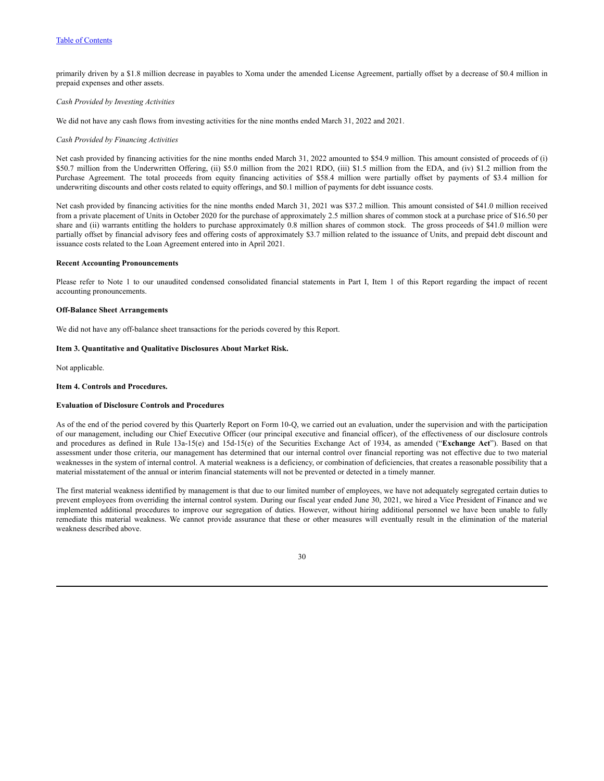### Table of [Contents](#page-1-0)

primarily driven by a \$1.8 million decrease in payables to Xoma under the amended License Agreement, partially offset by a decrease of \$0.4 million in prepaid expenses and other assets.

### *Cash Provided by Investing Activities*

We did not have any cash flows from investing activities for the nine months ended March 31, 2022 and 2021.

### *Cash Provided by Financing Activities*

Net cash provided by financing activities for the nine months ended March 31, 2022 amounted to \$54.9 million. This amount consisted of proceeds of (i) \$50.7 million from the Underwritten Offering, (ii) \$5.0 million from the 2021 RDO, (iii) \$1.5 million from the EDA, and (iv) \$1.2 million from the Purchase Agreement. The total proceeds from equity financing activities of \$58.4 million were partially offset by payments of \$3.4 million for underwriting discounts and other costs related to equity offerings, and \$0.1 million of payments for debt issuance costs.

Net cash provided by financing activities for the nine months ended March 31, 2021 was \$37.2 million. This amount consisted of \$41.0 million received from a private placement of Units in October 2020 for the purchase of approximately 2.5 million shares of common stock at a purchase price of \$16.50 per share and (ii) warrants entitling the holders to purchase approximately 0.8 million shares of common stock. The gross proceeds of \$41.0 million were partially offset by financial advisory fees and offering costs of approximately \$3.7 million related to the issuance of Units, and prepaid debt discount and issuance costs related to the Loan Agreement entered into in April 2021.

#### **Recent Accounting Pronouncements**

Please refer to Note 1 to our unaudited condensed consolidated financial statements in Part I, Item 1 of this Report regarding the impact of recent accounting pronouncements.

### **Off-Balance Sheet Arrangements**

We did not have any off-balance sheet transactions for the periods covered by this Report.

### <span id="page-32-0"></span>**Item 3. Quantitative and Qualitative Disclosures About Market Risk.**

Not applicable.

### <span id="page-32-1"></span>**Item 4. Controls and Procedures.**

#### **Evaluation of Disclosure Controls and Procedures**

As of the end of the period covered by this Quarterly Report on Form 10-Q, we carried out an evaluation, under the supervision and with the participation of our management, including our Chief Executive Officer (our principal executive and financial officer), of the effectiveness of our disclosure controls and procedures as defined in Rule 13a-15(e) and 15d-15(e) of the Securities Exchange Act of 1934, as amended ("**Exchange Act**"). Based on that assessment under those criteria, our management has determined that our internal control over financial reporting was not effective due to two material weaknesses in the system of internal control. A material weakness is a deficiency, or combination of deficiencies, that creates a reasonable possibility that a material misstatement of the annual or interim financial statements will not be prevented or detected in a timely manner.

The first material weakness identified by management is that due to our limited number of employees, we have not adequately segregated certain duties to prevent employees from overriding the internal control system. During our fiscal year ended June 30, 2021, we hired a Vice President of Finance and we implemented additional procedures to improve our segregation of duties. However, without hiring additional personnel we have been unable to fully remediate this material weakness. We cannot provide assurance that these or other measures will eventually result in the elimination of the material weakness described above.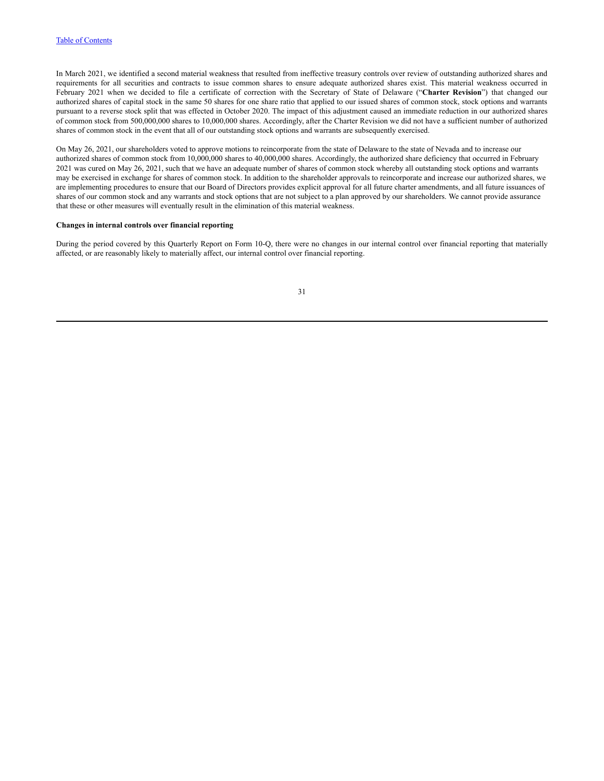In March 2021, we identified a second material weakness that resulted from ineffective treasury controls over review of outstanding authorized shares and requirements for all securities and contracts to issue common shares to ensure adequate authorized shares exist. This material weakness occurred in February 2021 when we decided to file a certificate of correction with the Secretary of State of Delaware ("**Charter Revision**") that changed our authorized shares of capital stock in the same 50 shares for one share ratio that applied to our issued shares of common stock, stock options and warrants pursuant to a reverse stock split that was effected in October 2020. The impact of this adjustment caused an immediate reduction in our authorized shares of common stock from 500,000,000 shares to 10,000,000 shares. Accordingly, after the Charter Revision we did not have a sufficient number of authorized shares of common stock in the event that all of our outstanding stock options and warrants are subsequently exercised.

On May 26, 2021, our shareholders voted to approve motions to reincorporate from the state of Delaware to the state of Nevada and to increase our authorized shares of common stock from 10,000,000 shares to 40,000,000 shares. Accordingly, the authorized share deficiency that occurred in February 2021 was cured on May 26, 2021, such that we have an adequate number of shares of common stock whereby all outstanding stock options and warrants may be exercised in exchange for shares of common stock. In addition to the shareholder approvals to reincorporate and increase our authorized shares, we are implementing procedures to ensure that our Board of Directors provides explicit approval for all future charter amendments, and all future issuances of shares of our common stock and any warrants and stock options that are not subject to a plan approved by our shareholders. We cannot provide assurance that these or other measures will eventually result in the elimination of this material weakness.

#### **Changes in internal controls over financial reporting**

During the period covered by this Quarterly Report on Form 10-Q, there were no changes in our internal control over financial reporting that materially affected, or are reasonably likely to materially affect, our internal control over financial reporting.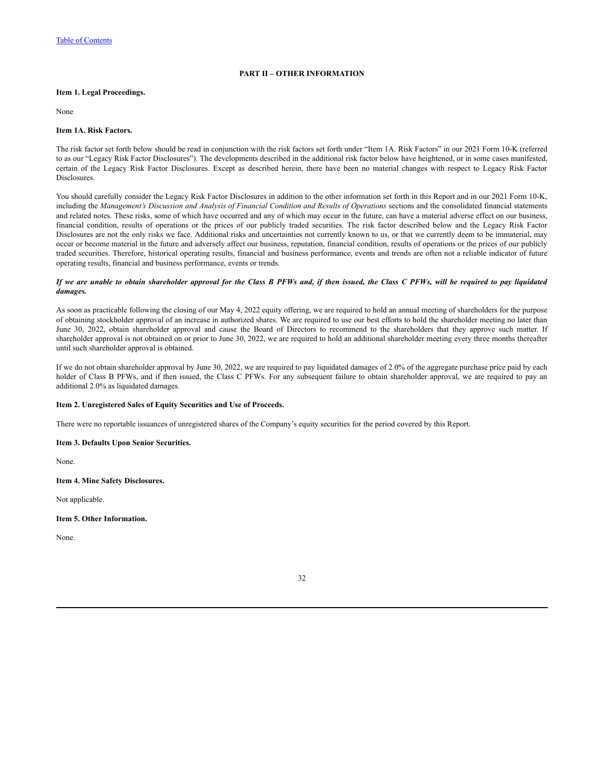# **PART II – OTHER INFORMATION**

## <span id="page-34-1"></span><span id="page-34-0"></span>**Item 1. Legal Proceedings.**

None

### <span id="page-34-2"></span>**Item 1A. Risk Factors.**

The risk factor set forth below should be read in conjunction with the risk factors set forth under "Item 1A. Risk Factors" in our 2021 Form 10-K (referred to as our "Legacy Risk Factor Disclosures"). The developments described in the additional risk factor below have heightened, or in some cases manifested, certain of the Legacy Risk Factor Disclosures. Except as described herein, there have been no material changes with respect to Legacy Risk Factor Disclosures.

You should carefully consider the Legacy Risk Factor Disclosures in addition to the other information set forth in this Report and in our 2021 Form 10-K, including the Management's Discussion and Analysis of Financial Condition and Results of Operations sections and the consolidated financial statements and related notes. These risks, some of which have occurred and any of which may occur in the future, can have a material adverse effect on our business, financial condition, results of operations or the prices of our publicly traded securities. The risk factor described below and the Legacy Risk Factor Disclosures are not the only risks we face. Additional risks and uncertainties not currently known to us, or that we currently deem to be immaterial, may occur or become material in the future and adversely affect our business, reputation, financial condition, results of operations or the prices of our publicly traded securities. Therefore, historical operating results, financial and business performance, events and trends are often not a reliable indicator of future operating results, financial and business performance, events or trends.

### If we are unable to obtain shareholder approval for the Class B PFWs and, if then issued, the Class C PFWs, will be required to pay liquidated *damages.*

As soon as practicable following the closing of our May 4, 2022 equity offering, we are required to hold an annual meeting of shareholders for the purpose of obtaining stockholder approval of an increase in authorized shares. We are required to use our best efforts to hold the shareholder meeting no later than June 30, 2022, obtain shareholder approval and cause the Board of Directors to recommend to the shareholders that they approve such matter. If shareholder approval is not obtained on or prior to June 30, 2022, we are required to hold an additional shareholder meeting every three months thereafter until such shareholder approval is obtained.

If we do not obtain shareholder approval by June 30, 2022, we are required to pay liquidated damages of 2.0% of the aggregate purchase price paid by each holder of Class B PFWs, and if then issued, the Class C PFWs. For any subsequent failure to obtain shareholder approval, we are required to pay an additional 2.0% as liquidated damages.

## <span id="page-34-3"></span>**Item 2. Unregistered Sales of Equity Securities and Use of Proceeds.**

There were no reportable issuances of unregistered shares of the Company's equity securities for the period covered by this Report.

## <span id="page-34-4"></span>**Item 3. Defaults Upon Senior Securities.**

None.

# <span id="page-34-5"></span>**Item 4. Mine Safety Disclosures.**

Not applicable.

#### <span id="page-34-6"></span>**Item 5. Other Information.**

None.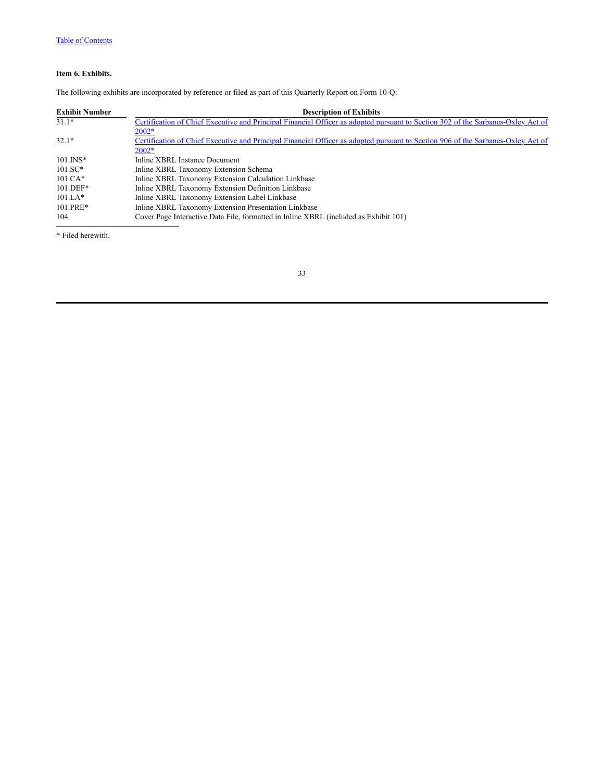# <span id="page-35-0"></span>**Item 6. Exhibits.**

The following exhibits are incorporated by reference or filed as part of this Quarterly Report on Form 10-Q:

| <b>Exhibit Number</b> | <b>Description of Exhibits</b>                                                                                                   |
|-----------------------|----------------------------------------------------------------------------------------------------------------------------------|
| $31.1*$               | Certification of Chief Executive and Principal Financial Officer as adopted pursuant to Section 302 of the Sarbanes-Oxley Act of |
|                       | $2002*$                                                                                                                          |
| $32.1*$               | Certification of Chief Executive and Principal Financial Officer as adopted pursuant to Section 906 of the Sarbanes-Oxley Act of |
|                       | $2002*$                                                                                                                          |
| $101$ . $INS*$        | Inline XBRL Instance Document                                                                                                    |
| $101.SC*$             | Inline XBRL Taxonomy Extension Schema                                                                                            |
| $101 \text{ CA*}$     | Inline XBRL Taxonomy Extension Calculation Linkbase                                                                              |
| $101.$ DEF*           | Inline XBRL Taxonomy Extension Definition Linkbase                                                                               |
| $101.LA*$             | Inline XBRL Taxonomy Extension Label Linkbase                                                                                    |
| $101.PRE*$            | Inline XBRL Taxonomy Extension Presentation Linkbase                                                                             |
| 104                   | Cover Page Interactive Data File, formatted in Inline XBRL (included as Exhibit 101)                                             |

\* Filed herewith.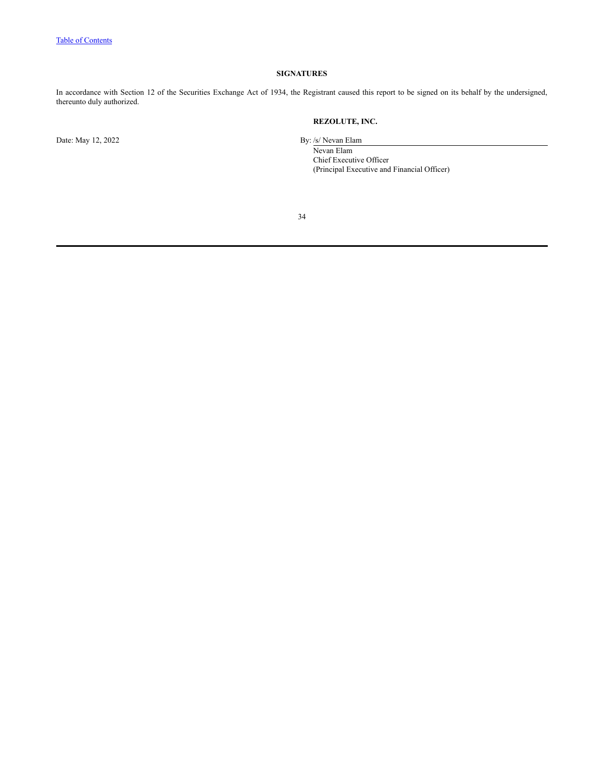# **SIGNATURES**

<span id="page-36-0"></span>In accordance with Section 12 of the Securities Exchange Act of 1934, the Registrant caused this report to be signed on its behalf by the undersigned, thereunto duly authorized.

**REZOLUTE, INC.**

Date: May 12, 2022 By: /s/ Nevan Elam

Nevan Elam

Chief Executive Officer (Principal Executive and Financial Officer)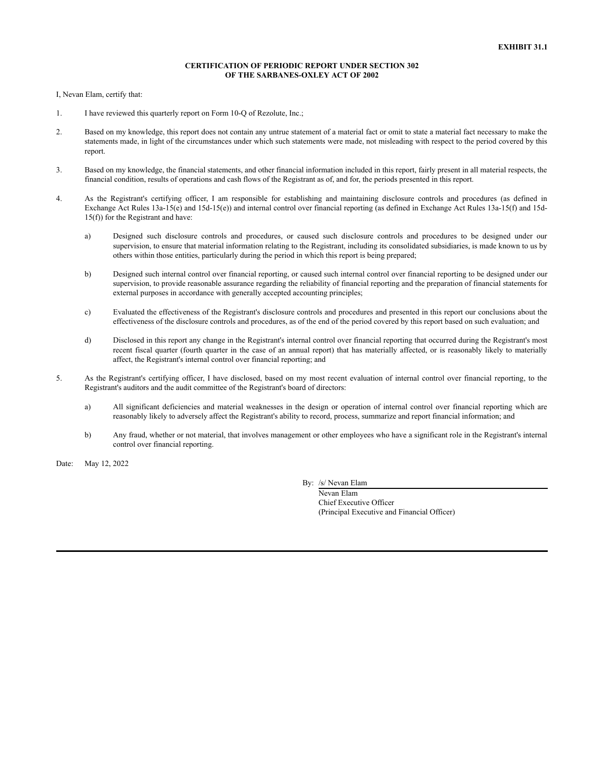### **CERTIFICATION OF PERIODIC REPORT UNDER SECTION 302 OF THE SARBANES-OXLEY ACT OF 2002**

I, Nevan Elam, certify that:

- 1. I have reviewed this quarterly report on Form 10-Q of Rezolute, Inc.;
- 2. Based on my knowledge, this report does not contain any untrue statement of a material fact or omit to state a material fact necessary to make the statements made, in light of the circumstances under which such statements were made, not misleading with respect to the period covered by this report.
- 3. Based on my knowledge, the financial statements, and other financial information included in this report, fairly present in all material respects, the financial condition, results of operations and cash flows of the Registrant as of, and for, the periods presented in this report.
- 4. As the Registrant's certifying officer, I am responsible for establishing and maintaining disclosure controls and procedures (as defined in Exchange Act Rules 13a-15(e) and 15d-15(e)) and internal control over financial reporting (as defined in Exchange Act Rules 13a-15(f) and 15d-15(f)) for the Registrant and have:
	- a) Designed such disclosure controls and procedures, or caused such disclosure controls and procedures to be designed under our supervision, to ensure that material information relating to the Registrant, including its consolidated subsidiaries, is made known to us by others within those entities, particularly during the period in which this report is being prepared;
	- b) Designed such internal control over financial reporting, or caused such internal control over financial reporting to be designed under our supervision, to provide reasonable assurance regarding the reliability of financial reporting and the preparation of financial statements for external purposes in accordance with generally accepted accounting principles;
	- c) Evaluated the effectiveness of the Registrant's disclosure controls and procedures and presented in this report our conclusions about the effectiveness of the disclosure controls and procedures, as of the end of the period covered by this report based on such evaluation; and
	- d) Disclosed in this report any change in the Registrant's internal control over financial reporting that occurred during the Registrant's most recent fiscal quarter (fourth quarter in the case of an annual report) that has materially affected, or is reasonably likely to materially affect, the Registrant's internal control over financial reporting; and
- 5. As the Registrant's certifying officer, I have disclosed, based on my most recent evaluation of internal control over financial reporting, to the Registrant's auditors and the audit committee of the Registrant's board of directors:
	- a) All significant deficiencies and material weaknesses in the design or operation of internal control over financial reporting which are reasonably likely to adversely affect the Registrant's ability to record, process, summarize and report financial information; and
	- b) Any fraud, whether or not material, that involves management or other employees who have a significant role in the Registrant's internal control over financial reporting.

Date: May 12, 2022

By: /s/ Nevan Elam

Nevan Elam Chief Executive Officer (Principal Executive and Financial Officer)